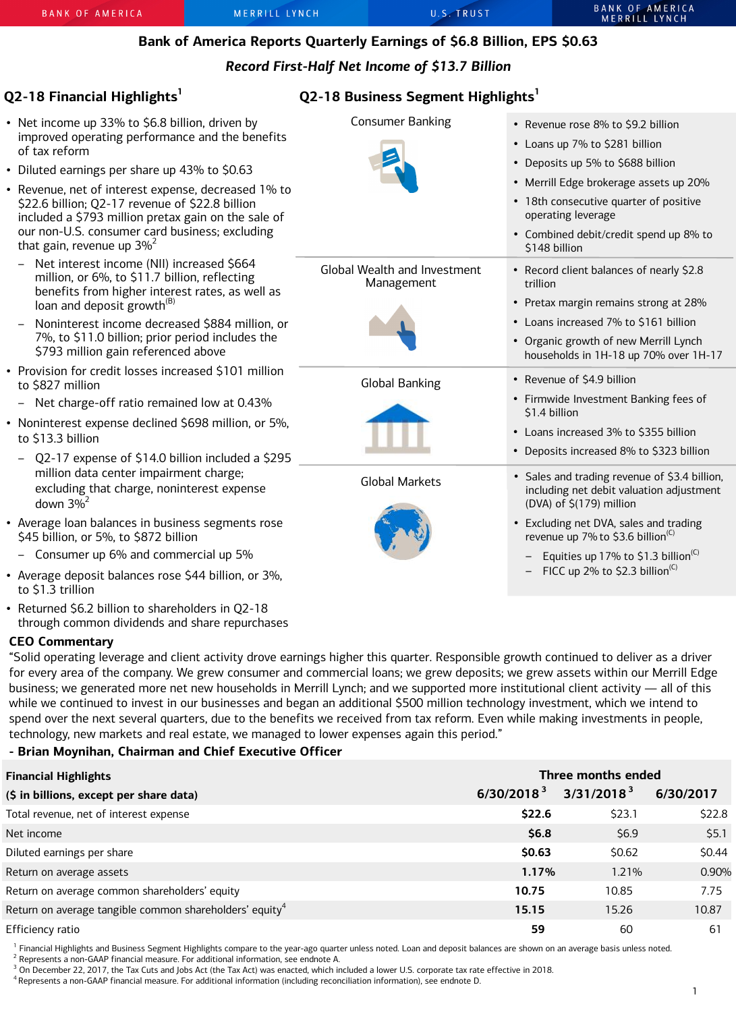# **Bank of America Reports Quarterly Earnings of \$6.8 Billion, EPS \$0.63**

# *Record First-Half Net Income of \$13.7 Billion*

# **Q2-18 Financial Highlights<sup>1</sup> Q2-18 Business Segment Highlights<sup>1</sup>**



#### **CEO Commentary**

"Solid operating leverage and client activity drove earnings higher this quarter. Responsible growth continued to deliver as a driver for every area of the company. We grew consumer and commercial loans; we grew deposits; we grew assets within our Merrill Edge business; we generated more net new households in Merrill Lynch; and we supported more institutional client activity — all of this while we continued to invest in our businesses and began an additional \$500 million technology investment, which we intend to spend over the next several quarters, due to the benefits we received from tax reform. Even while making investments in people, technology, new markets and real estate, we managed to lower expenses again this period."

# **- Brian Moynihan, Chairman and Chief Executive Officer**

| <b>Financial Highlights</b>                                | Three months ended     |                        |           |
|------------------------------------------------------------|------------------------|------------------------|-----------|
| (\$ in billions, except per share data)                    | 6/30/2018 <sup>3</sup> | 3/31/2018 <sup>3</sup> | 6/30/2017 |
| Total revenue, net of interest expense                     | \$22.6                 | \$23.1                 | \$22.8    |
| Net income                                                 | \$6.8                  | \$6.9                  | \$5.1     |
| Diluted earnings per share                                 | \$0.63                 | \$0.62                 | \$0.44    |
| Return on average assets                                   | 1.17%                  | 1.21%                  | 0.90%     |
| Return on average common shareholders' equity              | 10.75                  | 10.85                  | 7.75      |
| Return on average tangible common shareholders' equity $4$ | 15.15                  | 15.26                  | 10.87     |
| Efficiency ratio                                           | 59                     | 60                     | 61        |

<sup>1</sup> Financial Highlights and Business Segment Highlights compare to the year-ago quarter unless noted. Loan and deposit balances are shown on an average basis unless noted.

 $^2$  Represents a non-GAAP financial measure. For additional information, see endnote A.

 $^3$  On December 22, 2017, the Tax Cuts and Jobs Act (the Tax Act) was enacted, which included a lower U.S. corporate tax rate effective in 2018.

<sup>4</sup> Represents a non-GAAP financial measure. For additional information (including reconciliation information), see endnote D.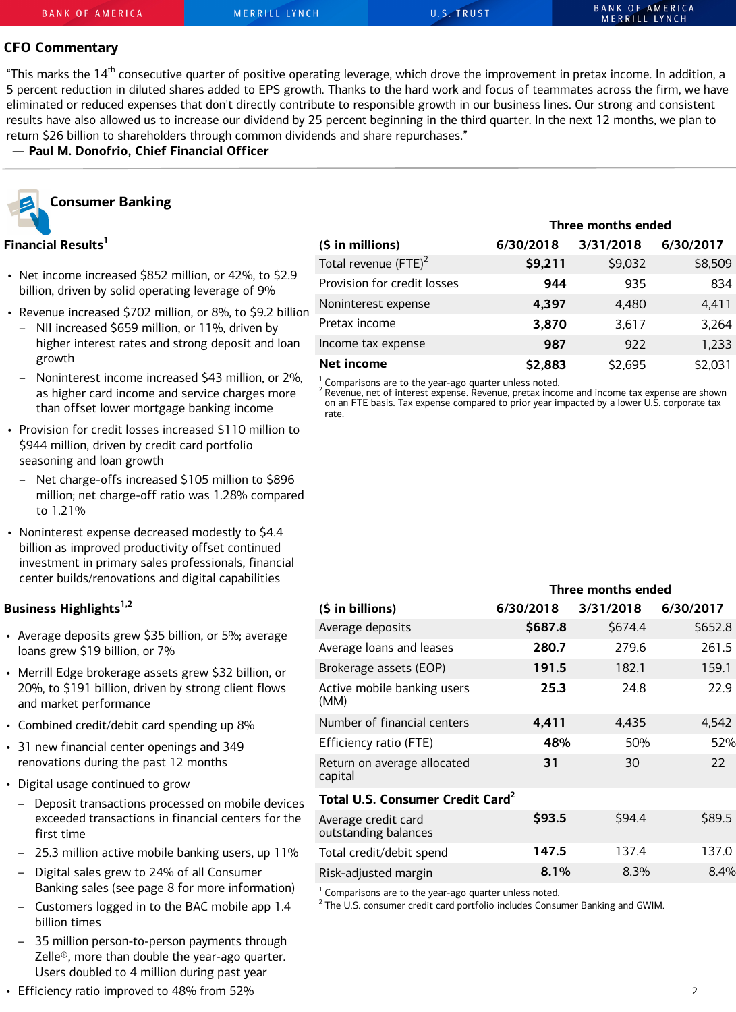| BANK OF AMERICA | MERRILL LYNCH | U.S. TRUST | BANK OF AMERICA<br>MERRILL LYNCH |
|-----------------|---------------|------------|----------------------------------|
|                 |               |            |                                  |

# **CFO Commentary**

"This marks the  $14<sup>th</sup>$  consecutive quarter of positive operating leverage, which drove the improvement in pretax income. In addition, a 5 percent reduction in diluted shares added to EPS growth. Thanks to the hard work and focus of teammates across the firm, we have eliminated or reduced expenses that don't directly contribute to responsible growth in our business lines. Our strong and consistent results have also allowed us to increase our dividend by 25 percent beginning in the third quarter. In the next 12 months, we plan to return \$26 billion to shareholders through common dividends and share repurchases."

**— Paul M. Donofrio, Chief Financial Officer** 



# **Financial Results<sup>1</sup>**

- Net income increased \$852 million, or 42%, to \$2.9 billion, driven by solid operating leverage of 9%
- Revenue increased \$702 million, or 8%, to \$9.2 billion
	- NII increased \$659 million, or 11%, driven by higher interest rates and strong deposit and loan growth
	- Noninterest income increased \$43 million, or 2%, as higher card income and service charges more than offset lower mortgage banking income
- Provision for credit losses increased \$110 million to \$944 million, driven by credit card portfolio seasoning and loan growth
	- Net charge-offs increased \$105 million to \$896 million; net charge-off ratio was 1.28% compared to 1.21%
- Noninterest expense decreased modestly to \$4.4 billion as improved productivity offset continued investment in primary sales professionals, financial center builds/renovations and digital capabilities

#### **Business Highlights**<sup>1,2</sup>

- Average deposits grew \$35 billion, or 5%; average loans grew \$19 billion, or 7%
- Merrill Edge brokerage assets grew \$32 billion, or 20%, to \$191 billion, driven by strong client flows and market performance
- Combined credit/debit card spending up 8%
- 31 new financial center openings and 349 renovations during the past 12 months
- Digital usage continued to grow
	- Deposit transactions processed on mobile devices exceeded transactions in financial centers for the first time
	- 25.3 million active mobile banking users, up 11%
	- Digital sales grew to 24% of all Consumer Banking sales (see page 8 for more information)
	- Customers logged in to the BAC mobile app 1.4 billion times
	- 35 million person-to-person payments through Zelle®, more than double the year-ago quarter. Users doubled to 4 million during past year
- Efficiency ratio improved to 48% from 52%

|                             | Three months ended |           |           |
|-----------------------------|--------------------|-----------|-----------|
| $(5$ in millions)           | 6/30/2018          | 3/31/2018 | 6/30/2017 |
| Total revenue $(FTE)^2$     | \$9,211            | \$9,032   | \$8,509   |
| Provision for credit losses | 944                | 935       | 834       |
| Noninterest expense         | 4,397              | 4,480     | 4,411     |
| Pretax income               | 3,870              | 3,617     | 3,264     |
| Income tax expense          | 987                | 922       | 1,233     |
| <b>Net income</b>           | \$2,883            | \$2,695   | \$2,031   |

 $\frac{1}{2}$  Comparisons are to the year-ago quarter unless noted.

 $2$  Revenue, net of interest expense. Revenue, pretax income and income tax expense are shown on an FTE basis. Tax expense compared to prior year impacted by a lower U.S. corporate tax rate.

|                                              | Three months ended |           |           |
|----------------------------------------------|--------------------|-----------|-----------|
| (\$ in billions)                             | 6/30/2018          | 3/31/2018 | 6/30/2017 |
| Average deposits                             | \$687.8            | \$674.4   | \$652.8   |
| Average loans and leases                     | 280.7              | 279.6     | 261.5     |
| Brokerage assets (EOP)                       | 191.5              | 182.1     | 159.1     |
| Active mobile banking users<br>(MM)          | 25.3               | 24.8      | 22.9      |
| Number of financial centers                  | 4,411              | 4,435     | 4,542     |
| Efficiency ratio (FTE)                       | 48%                | 50%       | 52%       |
| Return on average allocated<br>capital       | 31                 | 30        | 22        |
| Total U.S. Consumer Credit Card <sup>2</sup> |                    |           |           |
| Average credit card<br>outstanding balances  | \$93.5             | \$94.4    | \$89.5    |
| Total credit/debit spend                     | 147.5              | 137.4     | 137.0     |
| Risk-adjusted margin                         | 8.1%               | 8.3%      | 8.4%      |

<sup>1</sup> Comparisons are to the year-ago quarter unless noted.

 $^2$  The U.S. consumer credit card portfolio includes Consumer Banking and GWIM.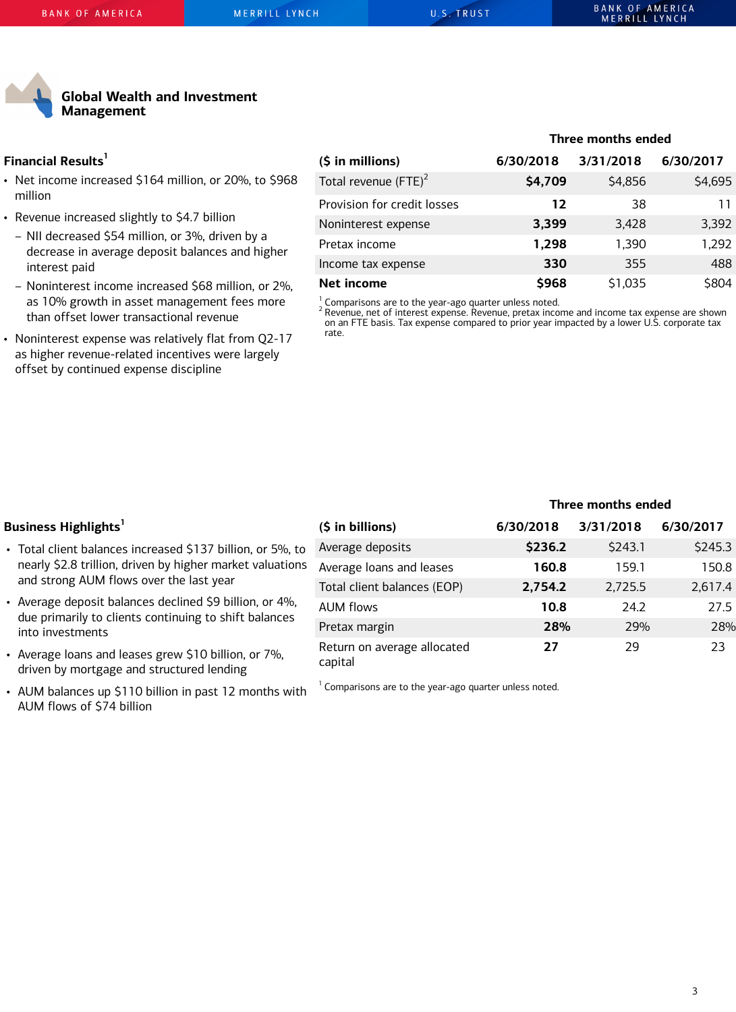

# **Financial Results<sup>1</sup>**

- Net income increased \$164 million, or 20%, to \$968 million
- Revenue increased slightly to \$4.7 billion
	- NII decreased \$54 million, or 3%, driven by a decrease in average deposit balances and higher interest paid
	- Noninterest income increased \$68 million, or 2%, as 10% growth in asset management fees more than offset lower transactional revenue
- Noninterest expense was relatively flat from Q2-17 as higher revenue-related incentives were largely offset by continued expense discipline

|                             | Three months ended |           |           |  |
|-----------------------------|--------------------|-----------|-----------|--|
| $(5$ in millions)           | 6/30/2018          | 3/31/2018 | 6/30/2017 |  |
| Total revenue $(FTE)^2$     | \$4,709            | \$4,856   | \$4,695   |  |
| Provision for credit losses | 12                 | 38        | 11        |  |
| Noninterest expense         | 3,399              | 3,428     | 3,392     |  |
| Pretax income               | 1,298              | 1,390     | 1,292     |  |
| Income tax expense          | 330                | 355       | 488       |  |
| <b>Net income</b>           | \$968              | \$1,035   | \$804     |  |

 $\frac{1}{2}$  Comparisons are to the year-ago quarter unless noted.

 $2$  Revenue, net of interest expense. Revenue, pretax income and income tax expense are shown on an FTE basis. Tax expense compared to prior year impacted by a lower U.S. corporate tax rate.

|   |                                        | Three months ended |           |           |
|---|----------------------------------------|--------------------|-----------|-----------|
|   | (\$ in billions)                       | 6/30/2018          | 3/31/2018 | 6/30/2017 |
|   | Average deposits                       | \$236.2            | \$243.1   | \$245.3   |
| s | Average loans and leases               | 160.8              | 159.1     | 150.8     |
|   | Total client balances (EOP)            | 2,754.2            | 2,725.5   | 2,617.4   |
|   | <b>AUM flows</b>                       | 10.8               | 24.2      | 27.5      |
|   | Pretax margin                          | 28%                | 29%       | 28%       |
|   | Return on average allocated<br>capital | 27                 | 29        | 23        |

<sup>1</sup> Comparisons are to the year-ago quarter unless noted.

# **Business Highlights<sup>1</sup>**

- Total client balances increased \$137 billion, or 5%, to nearly \$2.8 trillion, driven by higher market valuations and strong AUM flows over the last year
- Average deposit balances declined \$9 billion, or 4%, due primarily to clients continuing to shift balances into investments
- Average loans and leases grew \$10 billion, or 7%, driven by mortgage and structured lending
- AUM balances up \$110 billion in past 12 months with AUM flows of \$74 billion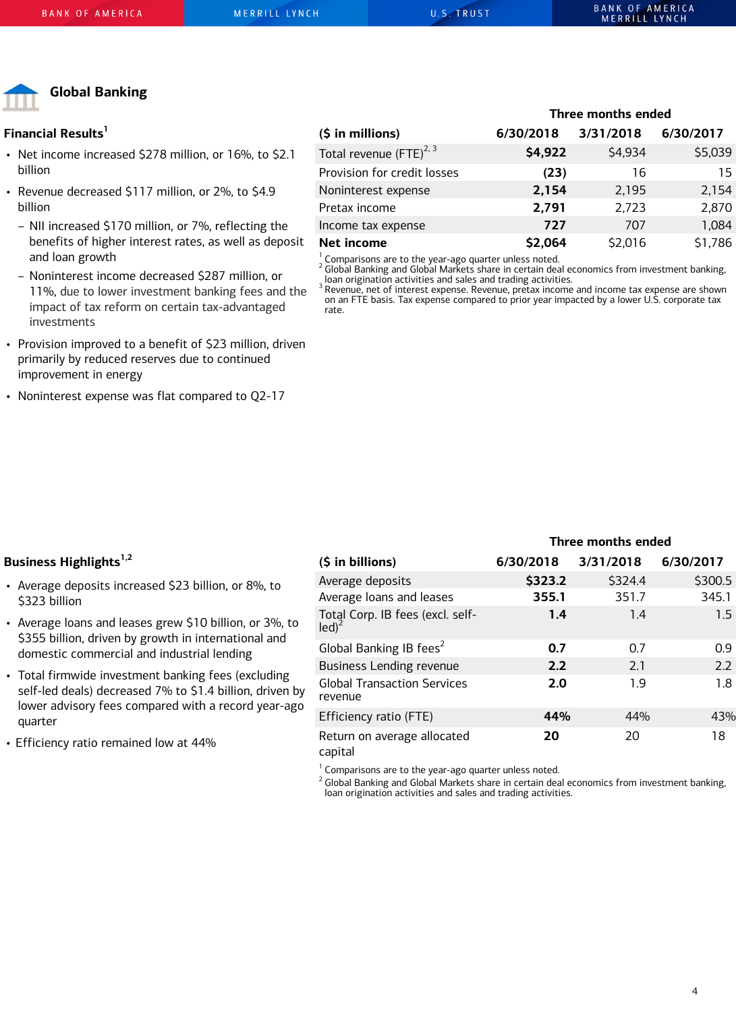

# **Financial Results<sup>1</sup>**

- Net income increased \$278 million, or 16%, to \$2.1 billion
- Revenue decreased \$117 million, or 2%, to \$4.9 billion
	- NII increased \$170 million, or 7%, reflecting the benefits of higher interest rates, as well as deposit and loan growth
	- Noninterest income decreased \$287 million, or 11%, due to lower investment banking fees and the impact of tax reform on certain tax-advantaged investments
- Provision improved to a benefit of \$23 million, driven primarily by reduced reserves due to continued improvement in energy
- Noninterest expense was flat compared to Q2-17

|                             | Three months ended |           |           |  |
|-----------------------------|--------------------|-----------|-----------|--|
| $(5$ in millions)           | 6/30/2018          | 3/31/2018 | 6/30/2017 |  |
| Total revenue $(FTE)^{2,3}$ | \$4,922            | \$4,934   | \$5,039   |  |
| Provision for credit losses | (23)               | 16        | 15        |  |
| Noninterest expense         | 2,154              | 2,195     | 2,154     |  |
| Pretax income               | 2,791              | 2,723     | 2,870     |  |
| Income tax expense          | 727                | 707       | 1,084     |  |
| <b>Net income</b>           | \$2,064            | \$2,016   | \$1,786   |  |

<sup>1</sup> Comparisons are to the year-ago quarter unless noted.<br><sup>2</sup> Global Banking and Global Markets share in certain deal economics from investment banking, loan origination activities and sales and trading activities.

<sup>3</sup> Revenue, net of interest expense. Revenue, pretax income and income tax expense are shown on an FTE basis. Tax expense compared to prior year impacted by a lower U.S. corporate tax rate.

|                                                    | Three months ended |           |           |
|----------------------------------------------------|--------------------|-----------|-----------|
| $(5$ in billions)                                  | 6/30/2018          | 3/31/2018 | 6/30/2017 |
| Average deposits                                   | \$323.2            | \$324.4   | \$300.5   |
| Average loans and leases                           | 355.1              | 351.7     | 345.1     |
| Total Corp. IB fees (excl. self-<br>$\text{led}^2$ | 1.4                | 1.4       | 1.5       |
| Global Banking IB fees <sup>2</sup>                | 0.7                | 0.7       | 0.9       |
| <b>Business Lending revenue</b>                    | 2.2                | 2.1       | 2.2       |
| <b>Global Transaction Services</b><br>revenue      | 2.0                | 1.9       | 1.8       |
| Efficiency ratio (FTE)                             | 44%                | 44%       | 43%       |
| Return on average allocated<br>capital             | 20                 | 20        | 18        |

<sup>1</sup> Comparisons are to the year-ago quarter unless noted.

 $^{\rm 2}$  Global Banking and Global Markets share in certain deal economics from investment banking, loan origination activities and sales and trading activities.

# **Business Highlights**<sup>1,2</sup>

- Average deposits increased \$23 billion, or 8%, to \$323 billion
- Average loans and leases grew \$10 billion, or 3%, to \$355 billion, driven by growth in international and domestic commercial and industrial lending
- Total firmwide investment banking fees (excluding self-led deals) decreased 7% to \$1.4 billion, driven by lower advisory fees compared with a record year-ago quarter
- Efficiency ratio remained low at 44%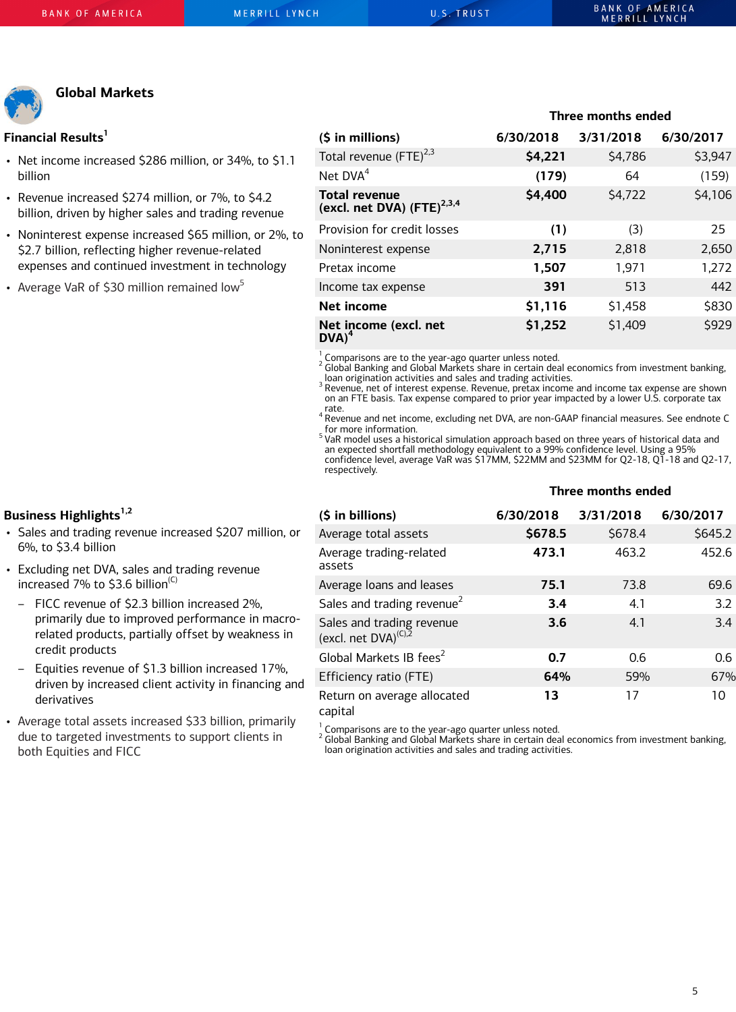

# **Global Markets**

#### **Financial Results<sup>1</sup>**

- Net income increased \$286 million, or 34%, to \$1.1 billion
- Revenue increased \$274 million, or 7%, to \$4.2 billion, driven by higher sales and trading revenue
- Noninterest expense increased \$65 million, or 2%, to \$2.7 billion, reflecting higher revenue-related expenses and continued investment in technology
- Average VaR of \$30 million remained low<sup>5</sup>

# **Business Highlights**<sup>1,2</sup>

- Sales and trading revenue increased \$207 million, or 6%, to \$3.4 billion
- Excluding net DVA, sales and trading revenue increased 7% to \$3.6 billion $^{(C)}$ 
	- FICC revenue of \$2.3 billion increased 2%, primarily due to improved performance in macrorelated products, partially offset by weakness in credit products
	- Equities revenue of \$1.3 billion increased 17%, driven by increased client activity in financing and derivatives
- Average total assets increased \$33 billion, primarily due to targeted investments to support clients in both Equities and FICC

|                                                             | Three months ended |           |           |  |
|-------------------------------------------------------------|--------------------|-----------|-----------|--|
| $(5$ in millions)                                           | 6/30/2018          | 3/31/2018 | 6/30/2017 |  |
| Total revenue $(FTE)^{2,3}$                                 | \$4,221            | \$4,786   | \$3,947   |  |
| Net DVA <sup>4</sup>                                        | (179)              | 64        | (159)     |  |
| <b>Total revenue</b><br>(excl. net DVA) $($ FTE $)^{2,3,4}$ | \$4,400            | \$4,722   | \$4,106   |  |
| Provision for credit losses                                 | (1)                | (3)       | 25        |  |
| Noninterest expense                                         | 2,715              | 2,818     | 2,650     |  |
| Pretax income                                               | 1,507              | 1,971     | 1,272     |  |
| Income tax expense                                          | 391                | 513       | 442       |  |
| <b>Net income</b>                                           | \$1,116            | \$1,458   | \$830     |  |
| Net income (excl. net<br>$DVA)^4$                           | \$1,252            | \$1,409   | \$929     |  |

<sup>1</sup> Comparisons are to the year-ago quarter unless noted.<br><sup>2</sup> Global Banking and Global Markets share in certain deal economics from investment banking, loan origination activities and sales and trading activities.

<sup>3</sup> Revenue, net of interest expense. Revenue, pretax income and income tax expense are shown on an FTE basis. Tax expense compared to prior year impacted by a lower U.S. corporate tax rate.

<sup>4</sup> Revenue and net income, excluding net DVA, are non-GAAP financial measures. See endnote C for more information.

<sup>5</sup> VaR model uses a historical simulation approach based on three years of historical data and an expected shortfall methodology equivalent to a 99% confidence level. Using a 95% confidence level, average VaR was \$17MM, \$22MM and \$23MM for Q2-18, Q1-18 and Q2-17, respectively.

| (\$ in billions)                                                 | 6/30/2018 | 3/31/2018 | 6/30/2017 |
|------------------------------------------------------------------|-----------|-----------|-----------|
| Average total assets                                             | \$678.5   | \$678.4   | \$645.2   |
| Average trading-related<br>assets                                | 473.1     | 463.2     | 452.6     |
| Average loans and leases                                         | 75.1      | 73.8      | 69.6      |
| Sales and trading revenue <sup>2</sup>                           | 3.4       | 4.1       | 3.2       |
| Sales and trading revenue<br>(excl. net $DVA$ ) <sup>(C),2</sup> | 3.6       | 4.1       | 3.4       |
| Global Markets IB fees <sup>2</sup>                              | 0.7       | 0.6       | 0.6       |
| Efficiency ratio (FTE)                                           | 64%       | 59%       | 67%       |
| Return on average allocated<br>capital                           | 13        | 17        | 10        |

<sup>1</sup> Comparisons are to the year-ago quarter unless noted.<br><sup>2</sup> Global Banking and Global Markets share in certain deal economics from investment banking, loan origination activities and sales and trading activities.

# **Three months ended**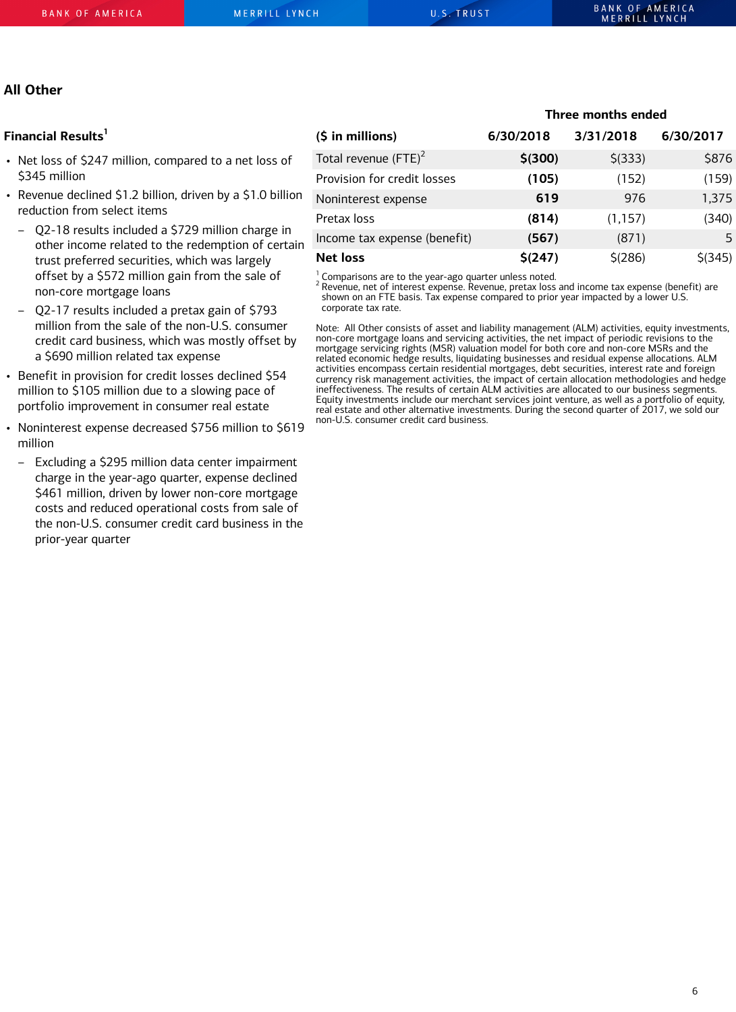U.S. TRUST

### **All Other**

#### **Financial Results<sup>1</sup>**

- Net loss of \$247 million, compared to a net loss of \$345 million
- Revenue declined \$1.2 billion, driven by a \$1.0 billion reduction from select items
	- Q2-18 results included a \$729 million charge in other income related to the redemption of certain trust preferred securities, which was largely offset by a \$572 million gain from the sale of non-core mortgage loans
	- Q2-17 results included a pretax gain of \$793 million from the sale of the non-U.S. consumer credit card business, which was mostly offset by a \$690 million related tax expense
- Benefit in provision for credit losses declined \$54 million to \$105 million due to a slowing pace of portfolio improvement in consumer real estate
- Noninterest expense decreased \$756 million to \$619 million
	- Excluding a \$295 million data center impairment charge in the year-ago quarter, expense declined \$461 million, driven by lower non-core mortgage costs and reduced operational costs from sale of the non-U.S. consumer credit card business in the prior-year quarter

|                              | Three months ended |           |           |
|------------------------------|--------------------|-----------|-----------|
| $(5$ in millions)            | 6/30/2018          | 3/31/2018 | 6/30/2017 |
| Total revenue $(FTE)^2$      | \$ (300)           | \$ (333)  | \$876     |
| Provision for credit losses  | (105)              | (152)     | (159)     |
| Noninterest expense          | 619                | 976       | 1,375     |
| Pretax loss                  | (814)              | (1, 157)  | (340)     |
| Income tax expense (benefit) | (567)              | (871)     | 5         |
| <b>Net loss</b>              | \$(247)            | \$(286)   | $$$ (345) |

<sup>1</sup> Comparisons are to the year-ago quarter unless noted.<br><sup>2</sup> Revenue, net of interest expense. Revenue, pretax loss and income tax expense (benefit) are shown on an FTE basis. Tax expense compared to prior year impacted by a lower U.S. corporate tax rate.

Note: All Other consists of asset and liability management (ALM) activities, equity investments, non-core mortgage loans and servicing activities, the net impact of periodic revisions to the mortgage servicing rights (MSR) valuation model for both core and non-core MSRs and the related economic hedge results, liquidating businesses and residual expense allocations. ALM activities encompass certain residential mortgages, debt securities, interest rate and foreign currency risk management activities, the impact of certain allocation methodologies and hedge ineffectiveness. The results of certain ALM activities are allocated to our business segments. Equity investments include our merchant services joint venture, as well as a portfolio of equity, real estate and other alternative investments. During the second quarter of 2017, we sold our non-U.S. consumer credit card business.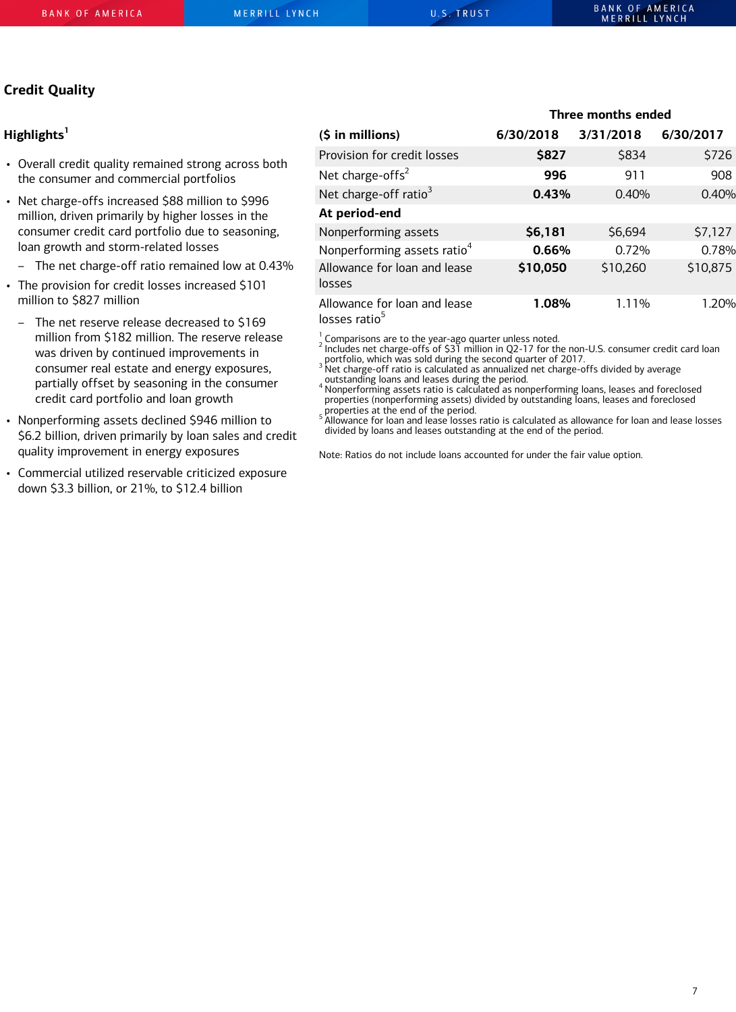# **Credit Quality**

#### **Highlights<sup>1</sup>**

- Overall credit quality remained strong across both the consumer and commercial portfolios
- Net charge-offs increased \$88 million to \$996 million, driven primarily by higher losses in the consumer credit card portfolio due to seasoning, loan growth and storm-related losses
	- The net charge-off ratio remained low at 0.43%
- The provision for credit losses increased \$101 million to \$827 million
	- The net reserve release decreased to \$169 million from \$182 million. The reserve release was driven by continued improvements in consumer real estate and energy exposures, partially offset by seasoning in the consumer credit card portfolio and loan growth
- Nonperforming assets declined \$946 million to \$6.2 billion, driven primarily by loan sales and credit quality improvement in energy exposures
- Commercial utilized reservable criticized exposure down \$3.3 billion, or 21%, to \$12.4 billion

|                                                           | Three months ended |           |           |
|-----------------------------------------------------------|--------------------|-----------|-----------|
| $(5$ in millions)                                         | 6/30/2018          | 3/31/2018 | 6/30/2017 |
| Provision for credit losses                               | \$827              | \$834     | \$726     |
| Net charge-offs <sup>2</sup>                              | 996                | 911       | 908       |
| Net charge-off ratio <sup>3</sup>                         | 0.43%              | 0.40%     | 0.40%     |
| At period-end                                             |                    |           |           |
| Nonperforming assets                                      | \$6,181            | \$6,694   | \$7,127   |
| Nonperforming assets ratio <sup>4</sup>                   | 0.66%              | 0.72%     | 0.78%     |
| Allowance for loan and lease<br>losses                    | \$10,050           | \$10,260  | \$10,875  |
| Allowance for loan and lease<br>losses ratio <sup>5</sup> | 1.08%              | 1.11%     | 1.20%     |

<sup>1</sup> Comparisons are to the year-ago quarter unless noted.<br><sup>2</sup> Includes net charge-offs of \$31 million in Q2-17 for the non-U.S. consumer credit card loan <sub>,</sub> portfolio, which was sold during the second quarter of 2017.<br><sup>3</sup> Net charge-off ratio is calculated as annualized net charge-offs divided by average

, outstanding loans and leases during the period.<br><sup>4</sup> Nonperforming assets ratio is calculated as nonperforming loans, leases and foreclosed properties (nonperforming assets) divided by outstanding loans, leases and foreclosed

<sub>-</sub> properties at the end of the period.<br><sup>5</sup> Allowance for loan and lease losses ratio is calculated as allowance for loan and lease losses divided by loans and leases outstanding at the end of the period.

Note: Ratios do not include loans accounted for under the fair value option.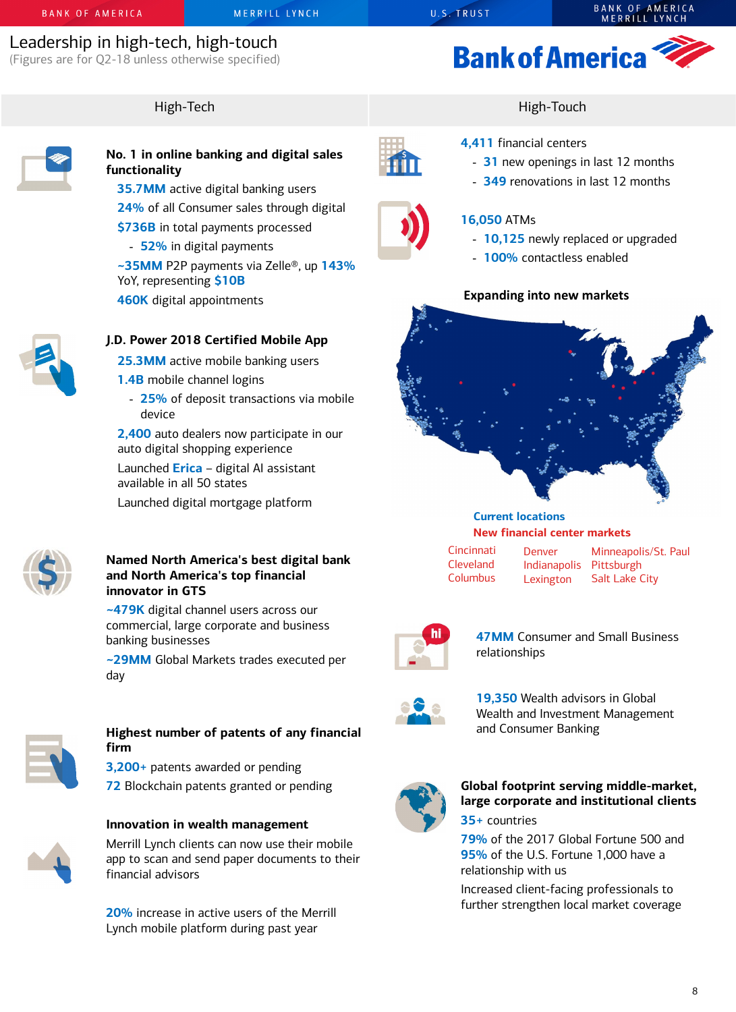#### BANK OF AMERICA

# Leadership in high-tech, high-touch

(Figures are for Q2-18 unless otherwise specified)

# U.S. TRUST

# **Bank of America**

AMERICA

ΩE

# High-Tech High-Touch



# **No. 1 in online banking and digital sales functionality**

MERRILL LYNCH

 **35.7MM** active digital banking users **24%** of all Consumer sales through digital

- **\$736B** in total payments processed
- ‑ **52%** in digital payments

 **~35MM** P2P payments via Zelle®, up **143%** YoY, representing **\$10B 460K** digital appointments



# **J.D. Power 2018 Certified Mobile App**

**25.3MM** active mobile banking users

- **1.4B** mobile channel logins
	- ‑ **25%** of deposit transactions via mobile device

**2,400** auto dealers now participate in our auto digital shopping experience

Launched **Erica** – digital AI assistant available in all 50 states

Launched digital mortgage platform



#### **Named North America's best digital bank and North America's top financial innovator in GTS**

**~479K** digital channel users across our commercial, large corporate and business banking businesses

**~29MM** Global Markets trades executed per day



# **Highest number of patents of any financial firm**

**3,200+** patents awarded or pending **72** Blockchain patents granted or pending



#### **Innovation in wealth management**

Merrill Lynch clients can now use their mobile app to scan and send paper documents to their financial advisors

**20%** increase in active users of the Merrill Lynch mobile platform during past year



- **4,411** financial centers
	- ‑ **31** new openings in last 12 months
	- ‑ **349** renovations in last 12 months



#### **16,050** ATMs

- ‑ **10,125** newly replaced or upgraded
- ‑ **100%** contactless enabled

# **Expanding into new markets**



#### **Current locations New financial center markets**

**Cincinnati** Cleveland Columbus

Denver Lexington

Minneapolis/St. Paul Indianapolis Pittsburgh Salt Lake City



**47MM** Consumer and Small Business relationships



**19,350** Wealth advisors in Global Wealth and Investment Management and Consumer Banking



#### **Global footprint serving middle-market, large corporate and institutional clients 35+** countries

**79%** of the 2017 Global Fortune 500 and **95%** of the U.S. Fortune 1,000 have a relationship with us

Increased client-facing professionals to further strengthen local market coverage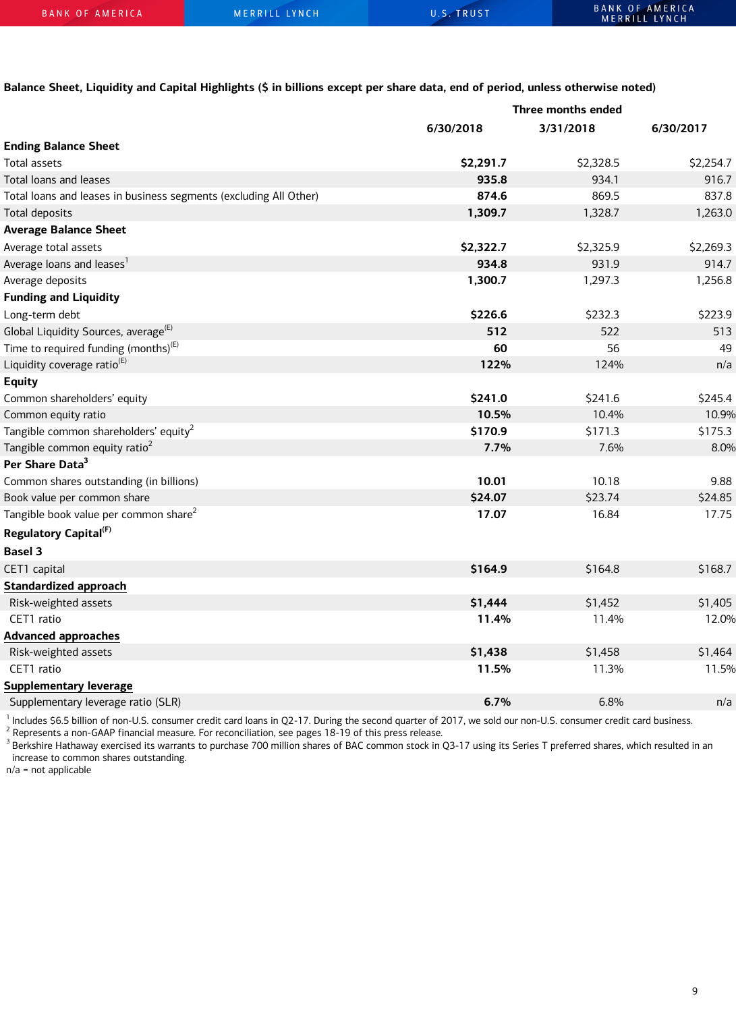| BANK OF AMERICA | MERRILL LYNCH | U.S. TRUST | BANK OF AMERICA<br>MERRILL LYNCH |
|-----------------|---------------|------------|----------------------------------|
|                 |               |            |                                  |

#### **Balance Sheet, Liquidity and Capital Highlights (\$ in billions except per share data, end of period, unless otherwise noted)**

|                                                                   |           | Three months ended |           |
|-------------------------------------------------------------------|-----------|--------------------|-----------|
|                                                                   | 6/30/2018 | 3/31/2018          | 6/30/2017 |
| <b>Ending Balance Sheet</b>                                       |           |                    |           |
| Total assets                                                      | \$2,291.7 | \$2,328.5          | \$2,254.7 |
| Total loans and leases                                            | 935.8     | 934.1              | 916.7     |
| Total loans and leases in business segments (excluding All Other) | 874.6     | 869.5              | 837.8     |
| Total deposits                                                    | 1,309.7   | 1,328.7            | 1,263.0   |
| <b>Average Balance Sheet</b>                                      |           |                    |           |
| Average total assets                                              | \$2,322.7 | \$2,325.9          | \$2,269.3 |
| Average loans and leases <sup>1</sup>                             | 934.8     | 931.9              | 914.7     |
| Average deposits                                                  | 1,300.7   | 1,297.3            | 1,256.8   |
| <b>Funding and Liquidity</b>                                      |           |                    |           |
| Long-term debt                                                    | \$226.6   | \$232.3            | \$223.9   |
| Global Liquidity Sources, average <sup>(E)</sup>                  | 512       | 522                | 513       |
| Time to required funding (months) <sup>(E)</sup>                  | 60        | 56                 | 49        |
| Liquidity coverage ratio <sup>(E)</sup>                           | 122%      | 124%               | n/a       |
| <b>Equity</b>                                                     |           |                    |           |
| Common shareholders' equity                                       | \$241.0   | \$241.6            | \$245.4   |
| Common equity ratio                                               | 10.5%     | 10.4%              | 10.9%     |
| Tangible common shareholders' equity <sup>2</sup>                 | \$170.9   | \$171.3            | \$175.3   |
| Tangible common equity ratio <sup>2</sup>                         | 7.7%      | 7.6%               | 8.0%      |
| Per Share Data <sup>3</sup>                                       |           |                    |           |
| Common shares outstanding (in billions)                           | 10.01     | 10.18              | 9.88      |
| Book value per common share                                       | \$24.07   | \$23.74            | \$24.85   |
| Tangible book value per common share <sup>2</sup>                 | 17.07     | 16.84              | 17.75     |
| Regulatory Capital <sup>(F)</sup>                                 |           |                    |           |
| <b>Basel 3</b>                                                    |           |                    |           |
| CET1 capital                                                      | \$164.9   | \$164.8            | \$168.7   |
| Standardized approach                                             |           |                    |           |
| Risk-weighted assets                                              | \$1,444   | \$1,452            | \$1,405   |
| CET1 ratio                                                        | 11.4%     | 11.4%              | 12.0%     |
| <b>Advanced approaches</b>                                        |           |                    |           |
| Risk-weighted assets                                              | \$1,438   | \$1,458            | \$1,464   |
| CET1 ratio                                                        | 11.5%     | 11.3%              | 11.5%     |
| <b>Supplementary leverage</b>                                     |           |                    |           |
| Supplementary leverage ratio (SLR)                                | 6.7%      | 6.8%               | n/a       |

<sup>1</sup> Includes \$6.5 billion of non-U.S. consumer credit card loans in Q2-17. During the second quarter of 2017, we sold our non-U.S. consumer credit card business.

 $^2$  Represents a non-GAAP financial measure. For reconciliation, see pages 18-19 of this press release.

 $^3$  Berkshire Hathaway exercised its warrants to purchase 700 million shares of BAC common stock in Q3-17 using its Series T preferred shares, which resulted in an increase to common shares outstanding.

n/a = not applicable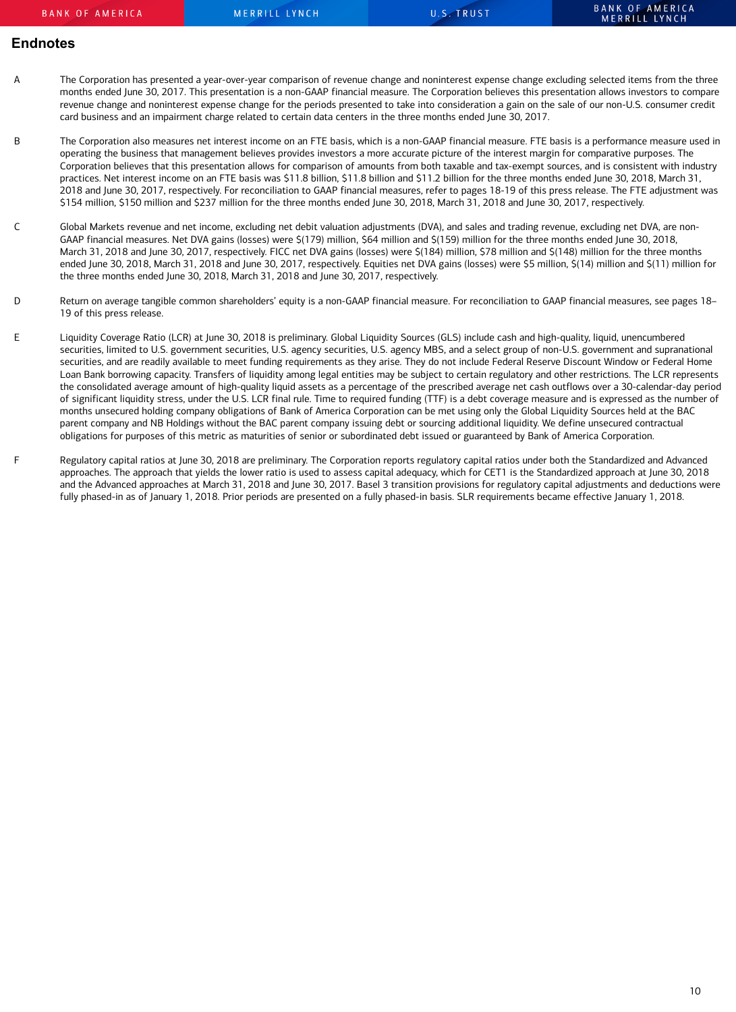U.S. TRUST

# **Endnotes**

- A The Corporation has presented a year-over-year comparison of revenue change and noninterest expense change excluding selected items from the three months ended June 30, 2017. This presentation is a non-GAAP financial measure. The Corporation believes this presentation allows investors to compare revenue change and noninterest expense change for the periods presented to take into consideration a gain on the sale of our non-U.S. consumer credit card business and an impairment charge related to certain data centers in the three months ended June 30, 2017.
- B The Corporation also measures net interest income on an FTE basis, which is a non-GAAP financial measure. FTE basis is a performance measure used in operating the business that management believes provides investors a more accurate picture of the interest margin for comparative purposes. The Corporation believes that this presentation allows for comparison of amounts from both taxable and tax-exempt sources, and is consistent with industry practices. Net interest income on an FTE basis was \$11.8 billion, \$11.8 billion and \$11.2 billion for the three months ended June 30, 2018, March 31, 2018 and June 30, 2017, respectively. For reconciliation to GAAP financial measures, refer to pages 18-19 of this press release. The FTE adjustment was \$154 million, \$150 million and \$237 million for the three months ended June 30, 2018, March 31, 2018 and June 30, 2017, respectively.
- C Global Markets revenue and net income, excluding net debit valuation adjustments (DVA), and sales and trading revenue, excluding net DVA, are non-GAAP financial measures. Net DVA gains (losses) were \$(179) million, \$64 million and \$(159) million for the three months ended June 30, 2018, March 31, 2018 and June 30, 2017, respectively. FICC net DVA gains (losses) were \$(184) million, \$78 million and \$(148) million for the three months ended June 30, 2018, March 31, 2018 and June 30, 2017, respectively. Equities net DVA gains (losses) were \$5 million, \$(14) million and \$(11) million for the three months ended June 30, 2018, March 31, 2018 and June 30, 2017, respectively.
- D Return on average tangible common shareholders' equity is a non-GAAP financial measure. For reconciliation to GAAP financial measures, see pages 18– 19 of this press release.
- E Liquidity Coverage Ratio (LCR) at June 30, 2018 is preliminary. Global Liquidity Sources (GLS) include cash and high-quality, liquid, unencumbered securities, limited to U.S. government securities, U.S. agency securities, U.S. agency MBS, and a select group of non-U.S. government and supranational securities, and are readily available to meet funding requirements as they arise. They do not include Federal Reserve Discount Window or Federal Home Loan Bank borrowing capacity. Transfers of liquidity among legal entities may be subject to certain regulatory and other restrictions. The LCR represents the consolidated average amount of high-quality liquid assets as a percentage of the prescribed average net cash outflows over a 30-calendar-day period of significant liquidity stress, under the U.S. LCR final rule. Time to required funding (TTF) is a debt coverage measure and is expressed as the number of months unsecured holding company obligations of Bank of America Corporation can be met using only the Global Liquidity Sources held at the BAC parent company and NB Holdings without the BAC parent company issuing debt or sourcing additional liquidity. We define unsecured contractual obligations for purposes of this metric as maturities of senior or subordinated debt issued or guaranteed by Bank of America Corporation.
- F Regulatory capital ratios at June 30, 2018 are preliminary. The Corporation reports regulatory capital ratios under both the Standardized and Advanced approaches. The approach that yields the lower ratio is used to assess capital adequacy, which for CET1 is the Standardized approach at June 30, 2018 and the Advanced approaches at March 31, 2018 and June 30, 2017. Basel 3 transition provisions for regulatory capital adjustments and deductions were fully phased-in as of January 1, 2018. Prior periods are presented on a fully phased-in basis. SLR requirements became effective January 1, 2018.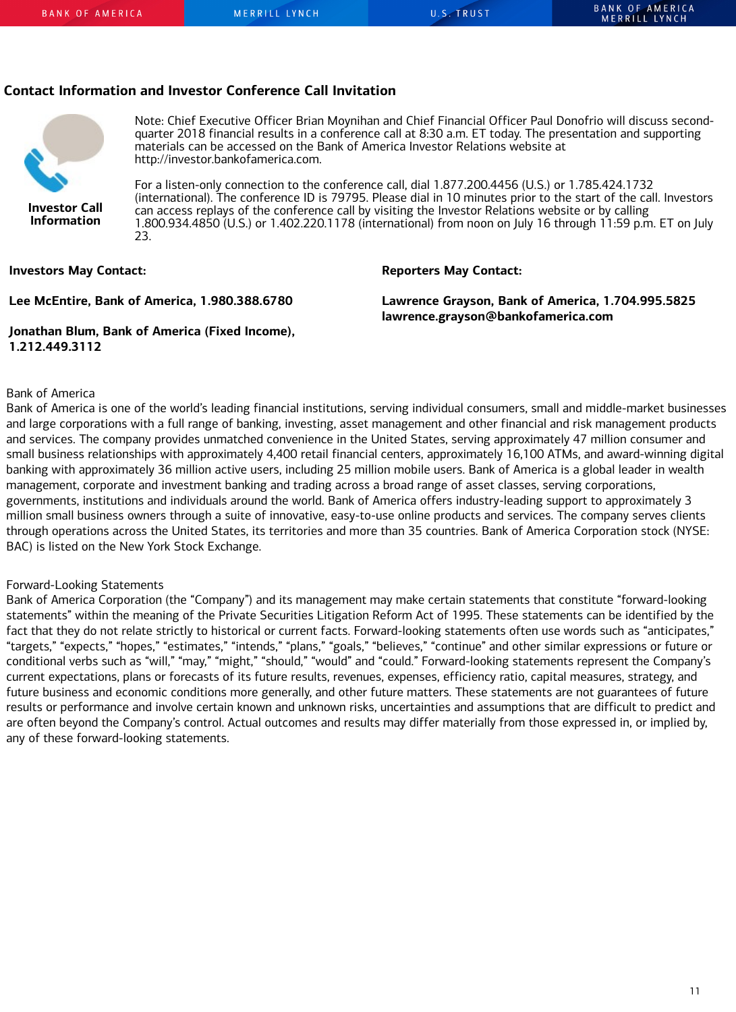U.S. TRUST

# **Contact Information and Investor Conference Call Invitation**



Note: Chief Executive Officer Brian Moynihan and Chief Financial Officer Paul Donofrio will discuss secondquarter 2018 financial results in a conference call at 8:30 a.m. ET today. The presentation and supporting materials can be accessed on the Bank of America Investor Relations website at http://investor.bankofamerica.com.

For a listen-only connection to the conference call, dial 1.877.200.4456 (U.S.) or 1.785.424.1732 (international). The conference ID is 79795. Please dial in 10 minutes prior to the start of the call. Investors can access replays of the conference call by visiting the Investor Relations website or by calling 1.800.934.4850 (U.S.) or 1.402.220.1178 (international) from noon on July 16 through 11:59 p.m. ET on July 23.

**Investors May Contact:**

**Reporters May Contact:**

**Lawrence Grayson, Bank of America, 1.704.995.5825**

**lawrence.grayson@bankofamerica.com**

**Lee McEntire, Bank of America, 1.980.388.6780**

**Jonathan Blum, Bank of America (Fixed Income), 1.212.449.3112**

#### Bank of America

Bank of America is one of the world's leading financial institutions, serving individual consumers, small and middle-market businesses and large corporations with a full range of banking, investing, asset management and other financial and risk management products and services. The company provides unmatched convenience in the United States, serving approximately 47 million consumer and small business relationships with approximately 4,400 retail financial centers, approximately 16,100 ATMs, and award-winning digital banking with approximately 36 million active users, including 25 million mobile users. Bank of America is a global leader in wealth management, corporate and investment banking and trading across a broad range of asset classes, serving corporations, governments, institutions and individuals around the world. Bank of America offers industry-leading support to approximately 3 million small business owners through a suite of innovative, easy-to-use online products and services. The company serves clients through operations across the United States, its territories and more than 35 countries. Bank of America Corporation stock (NYSE: BAC) is listed on the New York Stock Exchange.

#### Forward-Looking Statements

Bank of America Corporation (the "Company") and its management may make certain statements that constitute "forward-looking statements" within the meaning of the Private Securities Litigation Reform Act of 1995. These statements can be identified by the fact that they do not relate strictly to historical or current facts. Forward-looking statements often use words such as "anticipates," "targets," "expects," "hopes," "estimates," "intends," "plans," "goals," "believes," "continue" and other similar expressions or future or conditional verbs such as "will," "may," "might," "should," "would" and "could." Forward-looking statements represent the Company's current expectations, plans or forecasts of its future results, revenues, expenses, efficiency ratio, capital measures, strategy, and future business and economic conditions more generally, and other future matters. These statements are not guarantees of future results or performance and involve certain known and unknown risks, uncertainties and assumptions that are difficult to predict and are often beyond the Company's control. Actual outcomes and results may differ materially from those expressed in, or implied by, any of these forward-looking statements.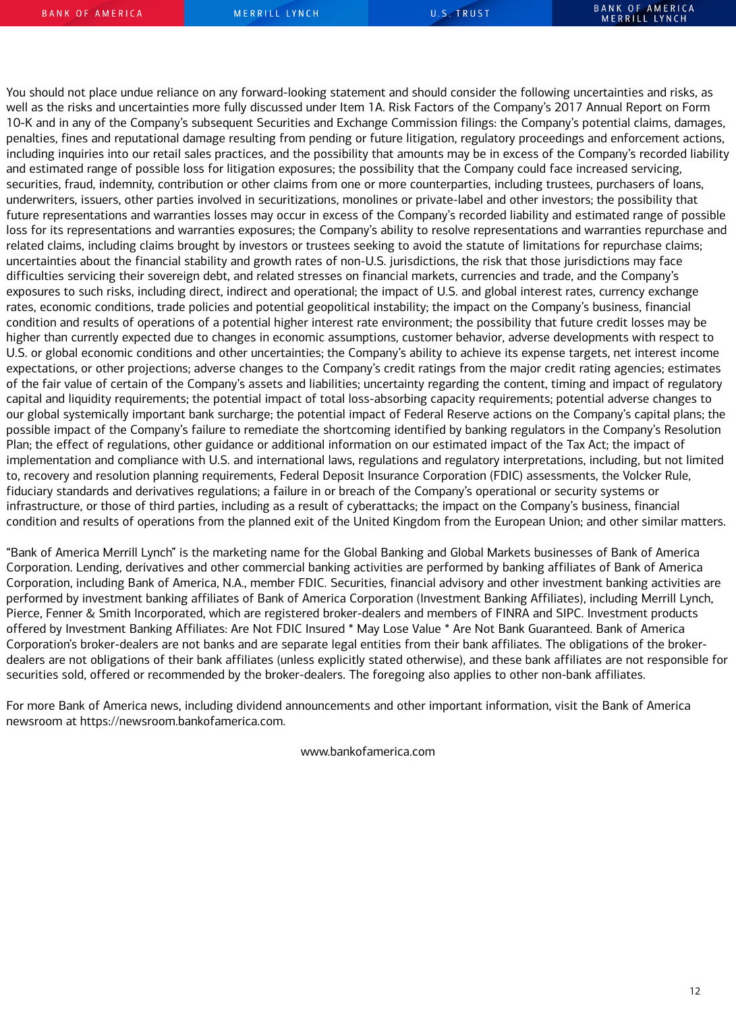U.S. TRUST

You should not place undue reliance on any forward-looking statement and should consider the following uncertainties and risks, as well as the risks and uncertainties more fully discussed under Item 1A. Risk Factors of the Company's 2017 Annual Report on Form 10-K and in any of the Company's subsequent Securities and Exchange Commission filings: the Company's potential claims, damages, penalties, fines and reputational damage resulting from pending or future litigation, regulatory proceedings and enforcement actions, including inquiries into our retail sales practices, and the possibility that amounts may be in excess of the Company's recorded liability and estimated range of possible loss for litigation exposures; the possibility that the Company could face increased servicing, securities, fraud, indemnity, contribution or other claims from one or more counterparties, including trustees, purchasers of loans, underwriters, issuers, other parties involved in securitizations, monolines or private-label and other investors; the possibility that future representations and warranties losses may occur in excess of the Company's recorded liability and estimated range of possible loss for its representations and warranties exposures; the Company's ability to resolve representations and warranties repurchase and related claims, including claims brought by investors or trustees seeking to avoid the statute of limitations for repurchase claims; uncertainties about the financial stability and growth rates of non-U.S. jurisdictions, the risk that those jurisdictions may face difficulties servicing their sovereign debt, and related stresses on financial markets, currencies and trade, and the Company's exposures to such risks, including direct, indirect and operational; the impact of U.S. and global interest rates, currency exchange rates, economic conditions, trade policies and potential geopolitical instability; the impact on the Company's business, financial condition and results of operations of a potential higher interest rate environment; the possibility that future credit losses may be higher than currently expected due to changes in economic assumptions, customer behavior, adverse developments with respect to U.S. or global economic conditions and other uncertainties; the Company's ability to achieve its expense targets, net interest income expectations, or other projections; adverse changes to the Company's credit ratings from the major credit rating agencies; estimates of the fair value of certain of the Company's assets and liabilities; uncertainty regarding the content, timing and impact of regulatory capital and liquidity requirements; the potential impact of total loss-absorbing capacity requirements; potential adverse changes to our global systemically important bank surcharge; the potential impact of Federal Reserve actions on the Company's capital plans; the possible impact of the Company's failure to remediate the shortcoming identified by banking regulators in the Company's Resolution Plan; the effect of regulations, other guidance or additional information on our estimated impact of the Tax Act; the impact of implementation and compliance with U.S. and international laws, regulations and regulatory interpretations, including, but not limited to, recovery and resolution planning requirements, Federal Deposit Insurance Corporation (FDIC) assessments, the Volcker Rule, fiduciary standards and derivatives regulations; a failure in or breach of the Company's operational or security systems or infrastructure, or those of third parties, including as a result of cyberattacks; the impact on the Company's business, financial condition and results of operations from the planned exit of the United Kingdom from the European Union; and other similar matters.

"Bank of America Merrill Lynch" is the marketing name for the Global Banking and Global Markets businesses of Bank of America Corporation. Lending, derivatives and other commercial banking activities are performed by banking affiliates of Bank of America Corporation, including Bank of America, N.A., member FDIC. Securities, financial advisory and other investment banking activities are performed by investment banking affiliates of Bank of America Corporation (Investment Banking Affiliates), including Merrill Lynch, Pierce, Fenner & Smith Incorporated, which are registered broker-dealers and members of FINRA and SIPC. Investment products offered by Investment Banking Affiliates: Are Not FDIC Insured \* May Lose Value \* Are Not Bank Guaranteed. Bank of America Corporation's broker-dealers are not banks and are separate legal entities from their bank affiliates. The obligations of the brokerdealers are not obligations of their bank affiliates (unless explicitly stated otherwise), and these bank affiliates are not responsible for securities sold, offered or recommended by the broker-dealers. The foregoing also applies to other non-bank affiliates.

For more Bank of America news, including dividend announcements and other important information, visit the Bank of America newsroom at https://newsroom.bankofamerica.com.

www.bankofamerica.com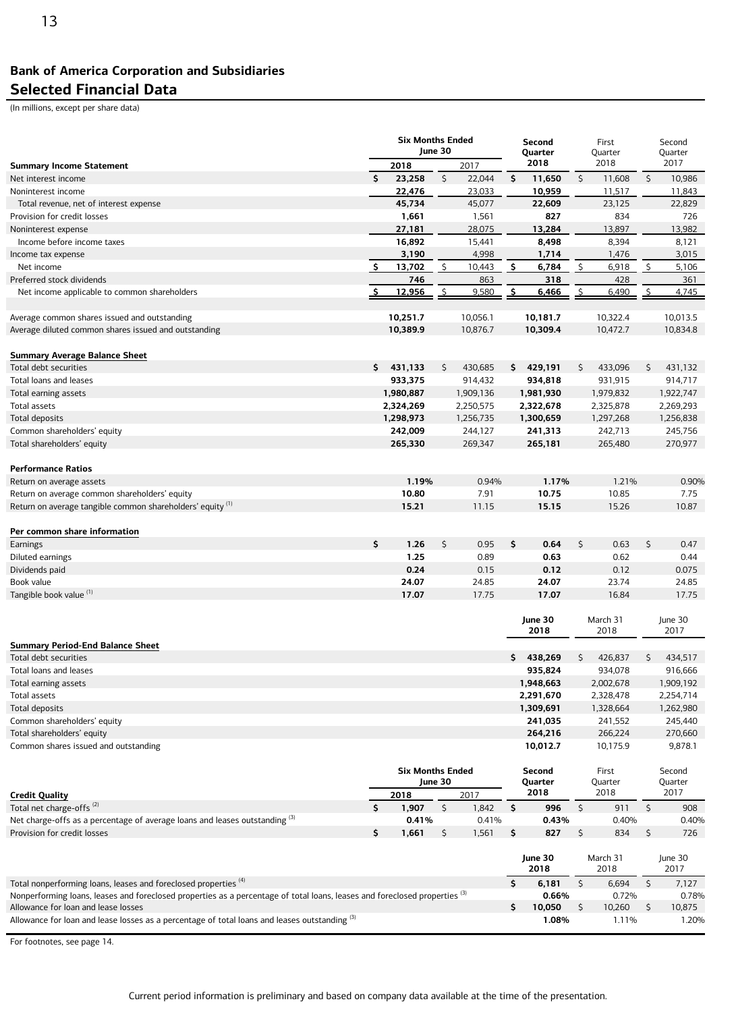13

# **Bank of America Corporation and Subsidiaries Selected Financial Data**

(In millions, except per share data)

|                                                                                                                                       |     | <b>Six Months Ended</b><br>June 30 |         |           |                 | Second<br>Quarter |                  | First<br>Quarter |         | Second<br>Quarter |
|---------------------------------------------------------------------------------------------------------------------------------------|-----|------------------------------------|---------|-----------|-----------------|-------------------|------------------|------------------|---------|-------------------|
| <b>Summary Income Statement</b>                                                                                                       |     | 2018                               |         | 2017      |                 | 2018              |                  | 2018             |         | 2017              |
| Net interest income                                                                                                                   | \$. | 23,258                             | $\zeta$ | 22,044    | \$              | 11,650            | \$               | 11,608           | \$      | 10,986            |
| Noninterest income                                                                                                                    |     | 22,476                             |         | 23,033    |                 | 10,959            |                  | 11,517           |         | 11,843            |
| Total revenue, net of interest expense                                                                                                |     | 45,734                             |         | 45,077    |                 | 22,609            |                  | 23,125           |         | 22,829            |
| Provision for credit losses                                                                                                           |     | 1,661                              |         | 1,561     |                 | 827               |                  | 834              |         | 726               |
| Noninterest expense                                                                                                                   |     | 27,181                             |         | 28,075    |                 | 13,284            |                  | 13,897           |         | 13,982            |
| Income before income taxes                                                                                                            |     | 16,892                             |         | 15,441    |                 | 8,498             |                  | 8,394            |         | 8,121             |
| Income tax expense                                                                                                                    |     | 3,190                              |         | 4,998     |                 | 1,714             |                  | 1,476            |         | 3,015             |
| Net income                                                                                                                            | \$  | 13,702                             | \$      | 10,443    | \$              | 6,784             | $\zeta$          | 6,918            | $\zeta$ | 5,106             |
| Preferred stock dividends                                                                                                             |     | 746                                |         | 863       |                 | 318               |                  | 428              |         | 361               |
| Net income applicable to common shareholders                                                                                          |     | 12,956                             |         | 9,580     | Ŝ               | 6,466             |                  | 6,490            |         | 4,745             |
| Average common shares issued and outstanding                                                                                          |     | 10,251.7                           |         | 10,056.1  |                 | 10,181.7          |                  | 10,322.4         |         | 10.013.5          |
| Average diluted common shares issued and outstanding                                                                                  |     | 10,389.9                           |         | 10,876.7  |                 | 10,309.4          |                  | 10,472.7         |         | 10,834.8          |
|                                                                                                                                       |     |                                    |         |           |                 |                   |                  |                  |         |                   |
| <b>Summary Average Balance Sheet</b><br>Total debt securities                                                                         | \$  | 431,133                            | \$      | 430,685   | \$.             | 429,191           | Ŝ.               | 433,096          | \$      | 431,132           |
| Total loans and leases                                                                                                                |     | 933,375                            |         | 914,432   |                 | 934,818           |                  | 931,915          |         | 914,717           |
| Total earning assets                                                                                                                  |     | 1,980,887                          |         | 1,909,136 |                 | 1,981,930         |                  | 1,979,832        |         | 1,922,747         |
| Total assets                                                                                                                          |     | 2,324,269                          |         | 2,250,575 |                 | 2,322,678         |                  | 2,325,878        |         | 2,269,293         |
| Total deposits                                                                                                                        |     | 1,298,973                          |         | 1,256,735 |                 | 1,300,659         |                  | 1,297,268        |         | 1,256,838         |
| Common shareholders' equity                                                                                                           |     | 242,009                            |         | 244,127   |                 | 241,313           |                  | 242,713          |         | 245,756           |
| Total shareholders' equity                                                                                                            |     | 265,330                            |         | 269,347   |                 | 265,181           |                  | 265,480          |         | 270,977           |
|                                                                                                                                       |     |                                    |         |           |                 |                   |                  |                  |         |                   |
| <b>Performance Ratios</b>                                                                                                             |     |                                    |         |           |                 |                   |                  |                  |         |                   |
| Return on average assets                                                                                                              |     | 1.19%                              |         | 0.94%     |                 | 1.17%             |                  | 1.21%            |         | 0.90%             |
| Return on average common shareholders' equity                                                                                         |     | 10.80                              |         | 7.91      |                 | 10.75             |                  | 10.85            |         | 7.75              |
| Return on average tangible common shareholders' equity (1)                                                                            |     | 15.21                              |         | 11.15     |                 | 15.15             |                  | 15.26            |         | 10.87             |
| Per common share information                                                                                                          |     |                                    |         |           |                 |                   |                  |                  |         |                   |
| Earnings                                                                                                                              | \$  | 1.26                               | \$      | 0.95      | \$.             | 0.64              | Ŝ.               | 0.63             | Ŝ.      | 0.47              |
| Diluted earnings                                                                                                                      |     | 1.25                               |         | 0.89      |                 | 0.63              |                  | 0.62             |         | 0.44              |
| Dividends paid                                                                                                                        |     | 0.24                               |         | 0.15      |                 | 0.12              |                  | 0.12             |         | 0.075             |
| Book value                                                                                                                            |     | 24.07                              |         | 24.85     |                 | 24.07             |                  | 23.74            |         | 24.85             |
| Tangible book value (1)                                                                                                               |     | 17.07                              |         | 17.75     |                 | 17.07             |                  | 16.84            |         | 17.75             |
|                                                                                                                                       |     |                                    |         |           |                 |                   |                  |                  |         |                   |
|                                                                                                                                       |     |                                    |         |           | June 30<br>2018 |                   | March 31<br>2018 |                  |         | June 30<br>2017   |
| <b>Summary Period-End Balance Sheet</b>                                                                                               |     |                                    |         |           |                 |                   |                  |                  |         |                   |
| Total debt securities                                                                                                                 |     |                                    |         |           | \$              | 438,269           | \$               | 426,837          | \$      | 434,517           |
| Total loans and leases                                                                                                                |     |                                    |         |           |                 | 935,824           |                  | 934,078          |         | 916,666           |
| Total earning assets                                                                                                                  |     |                                    |         |           |                 | 1,948,663         |                  | 2,002,678        |         | 1,909,192         |
| Total assets                                                                                                                          |     |                                    |         |           |                 | 2,291,670         |                  | 2,328,478        |         | 2,254,714         |
| <b>Total deposits</b>                                                                                                                 |     |                                    |         |           |                 | 1,309,691         |                  | 1,328,664        |         | 1,262,980         |
| Common shareholders' equity                                                                                                           |     |                                    |         |           |                 | 241,035           |                  | 241,552          |         | 245,440           |
| Total shareholders' equity                                                                                                            |     |                                    |         |           |                 | 264,216           |                  | 266,224          |         | 270,660           |
| Common shares issued and outstanding                                                                                                  |     |                                    |         |           |                 | 10,012.7          |                  | 10,175.9         |         | 9,878.1           |
|                                                                                                                                       |     |                                    |         |           |                 |                   |                  |                  |         |                   |
|                                                                                                                                       |     | <b>Six Months Ended</b>            | June 30 |           |                 | Second            |                  | First<br>Quarter |         | Second<br>Quarter |
| <b>Credit Quality</b>                                                                                                                 |     | 2018                               |         | 2017      |                 | Quarter<br>2018   |                  | 2018             |         | 2017              |
| Total net charge-offs <sup>(2)</sup>                                                                                                  | \$  | 1,907                              | \$      | 1,842     | \$              | 996               | \$               | 911              | \$      | 908               |
| Net charge-offs as a percentage of average loans and leases outstanding <sup>(3)</sup>                                                |     | 0.41%                              |         | 0.41%     |                 | 0.43%             |                  | 0.40%            |         | 0.40%             |
| Provision for credit losses                                                                                                           | \$  | 1,661                              | \$      | 1,561     | \$              | 827               | \$               | 834              | \$      | 726               |
|                                                                                                                                       |     |                                    |         |           |                 | June 30           |                  | March 31         |         | June 30           |
|                                                                                                                                       |     |                                    |         |           |                 | 2018              |                  | 2018             |         | 2017              |
| Total nonperforming loans, leases and foreclosed properties <sup>(4)</sup>                                                            |     |                                    |         |           | Ŝ.              | 6,181             | S.               | 6,694            | \$      | 7,127             |
| Nonperforming loans, leases and foreclosed properties as a percentage of total loans, leases and foreclosed properties <sup>(3)</sup> |     |                                    |         |           |                 | 0.66%             |                  | 0.72%            |         | 0.78%             |
| Allowance for loan and lease losses                                                                                                   |     |                                    |         |           | \$              | 10,050            | \$               | 10,260           | S.      | 10,875            |
| Allowance for loan and lease losses as a percentage of total loans and leases outstanding <sup>(3)</sup>                              |     |                                    |         |           |                 | 1.08%             |                  | 1.11%            |         | 1.20%             |

For footnotes, see page 14.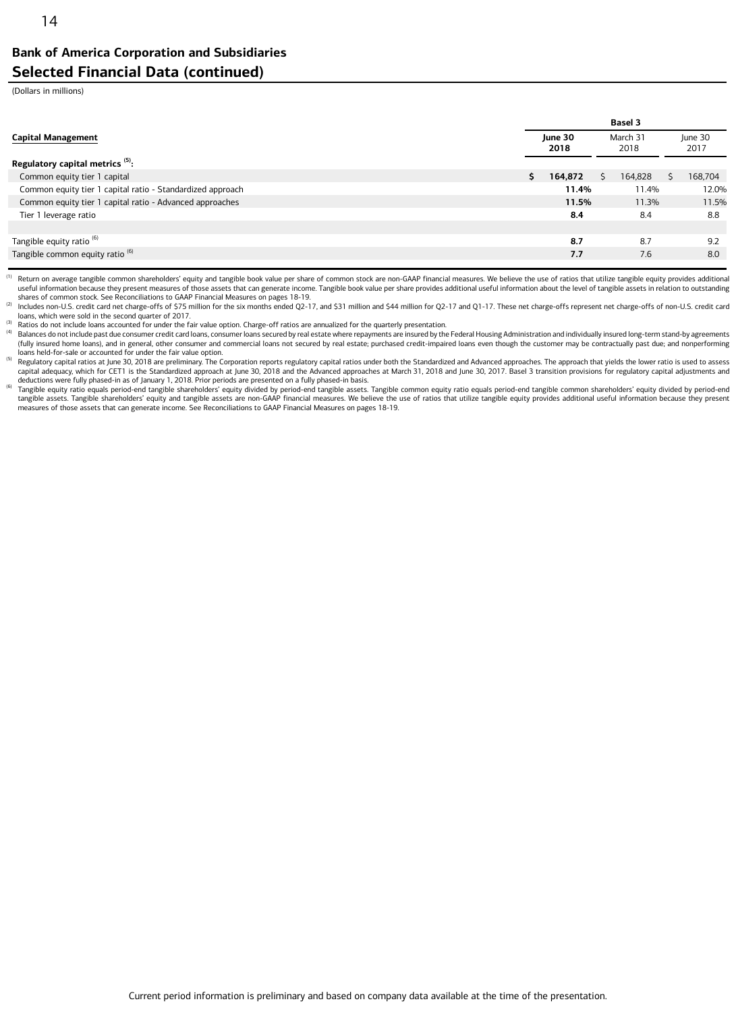# **Bank of America Corporation and Subsidiaries Selected Financial Data (continued)**

(Dollars in millions)

|                                                            |                 | <b>Basel 3</b>   |                 |  |  |  |  |  |  |  |  |  |
|------------------------------------------------------------|-----------------|------------------|-----------------|--|--|--|--|--|--|--|--|--|
| <b>Capital Management</b>                                  | June 30<br>2018 | March 31<br>2018 | June 30<br>2017 |  |  |  |  |  |  |  |  |  |
| Regulatory capital metrics <sup>(5)</sup> :                |                 |                  |                 |  |  |  |  |  |  |  |  |  |
| Common equity tier 1 capital                               | Ŝ.<br>164.872   | 164,828          | 168,704         |  |  |  |  |  |  |  |  |  |
| Common equity tier 1 capital ratio - Standardized approach | 11.4%           | 11.4%            | 12.0%           |  |  |  |  |  |  |  |  |  |
| Common equity tier 1 capital ratio - Advanced approaches   | 11.5%           | 11.3%            | 11.5%           |  |  |  |  |  |  |  |  |  |
| Tier 1 leverage ratio                                      | 8.4             | 8.4              | 8.8             |  |  |  |  |  |  |  |  |  |
|                                                            |                 |                  |                 |  |  |  |  |  |  |  |  |  |
| Tangible equity ratio <sup>(6)</sup>                       | 8.7             | 8.7              | 9.2             |  |  |  |  |  |  |  |  |  |
| Tangible common equity ratio <sup>(6)</sup>                | 7.7             | 7.6              | 8.0             |  |  |  |  |  |  |  |  |  |
|                                                            |                 |                  |                 |  |  |  |  |  |  |  |  |  |

(1) Return on average tangible common shareholders' equity and tangible book value per share of common stock are non-GAAP financial measures. We believe the use of ratios that utilize tangible equity provides additional useful information because they present measures of those assets that can generate income. Tangible book value per share provides additional useful information about the level of tangible assets in relation to outstanding<br>

(2) Includes non-U.S. credit card net charge-offs of \$75 million for the six months ended Q2-17, and \$31 million and \$44 million for Q2-17 and Q1-17. These net charge-offs represent net charge-offs of non-U.S. credit card loans, which were sold in the second quarter of 2017.

(3) Ratios do not include loans accounted for under the fair value option. Charge-off ratios are annualized for the quarterly presentation.

(4) Balances do not include past due consumer credit card loans, consumer loans secured by real estate where repayments are insured by the Federal Housing Administration and individually insured long-term stand-by agreemen (fully insured home loans), and in general, other consumer and commercial loans not secured by real estate; purchased credit-impaired loans even though the customer may be contractually past due; and nonperforming

loans held-for-sale or accounted for under the fair value option.<br><sup>(5)</sup> Regulatory capital ratios at June 30, 2018 are preliminary. The Corporation reports regulatory capital ratios under both the Standardized and Advanced capital adequacy, which for CET1 is the Standardized approach at June 30, 2018 and the Advanced approaches at March 31, 2018 and June 30, 2017. Basel 3 transition provisions for regulatory capital adjustments and deductions were fully phased-in as of January 1, 2018. Prior periods are presented on a fully phased-in basis.

<sup>(6)</sup> Tangible equity ratio equals period-end tangible shareholders' equity divided by period-end tangible assets. Tangible common equity ratio equals period-end tangible common shareholders' equity and deverbedenders' equ measures of those assets that can generate income. See Reconciliations to GAAP Financial Measures on pages 18-19.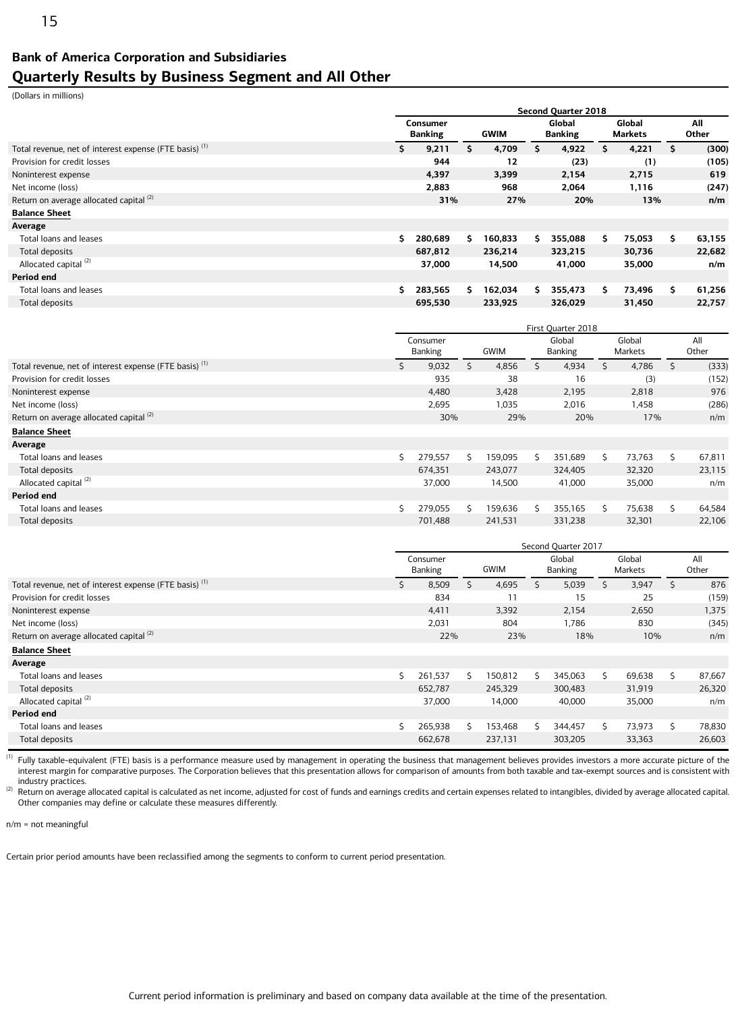# **Bank of America Corporation and Subsidiaries Quarterly Results by Business Segment and All Other**

(Dollars in millions)

|                                                                   |    | Second Quarter 2018        |             |         |                          |         |    |                          |       |        |  |  |
|-------------------------------------------------------------------|----|----------------------------|-------------|---------|--------------------------|---------|----|--------------------------|-------|--------|--|--|
|                                                                   |    | Consumer<br><b>Banking</b> | <b>GWIM</b> |         | Global<br><b>Banking</b> |         |    | Global<br><b>Markets</b> | Other |        |  |  |
| Total revenue, net of interest expense (FTE basis) <sup>(1)</sup> | s. | 9,211                      | S.          | 4,709   |                          | 4,922   | s  | 4,221                    | s.    | (300)  |  |  |
| Provision for credit losses                                       |    | 944                        |             | 12      |                          | (23)    |    | (1)                      |       | (105)  |  |  |
| Noninterest expense                                               |    | 4,397                      |             | 3,399   |                          | 2,154   |    | 2,715                    |       | 619    |  |  |
| Net income (loss)                                                 |    | 2,883                      |             | 968     |                          | 2,064   |    | 1,116                    |       | (247)  |  |  |
| Return on average allocated capital <sup>(2)</sup>                |    | 31%                        |             | 27%     |                          | 20%     |    | 13%                      |       | n/m    |  |  |
| <b>Balance Sheet</b>                                              |    |                            |             |         |                          |         |    |                          |       |        |  |  |
| Average                                                           |    |                            |             |         |                          |         |    |                          |       |        |  |  |
| Total loans and leases                                            | S. | 280,689                    | Ŝ.          | 160,833 |                          | 355,088 | Ś. | 75,053                   | Ś.    | 63,155 |  |  |
| Total deposits                                                    |    | 687,812                    |             | 236,214 |                          | 323,215 |    | 30,736                   |       | 22,682 |  |  |
| Allocated capital <sup>(2)</sup>                                  |    | 37,000                     |             | 14,500  |                          | 41,000  |    | 35,000                   |       | n/m    |  |  |
| Period end                                                        |    |                            |             |         |                          |         |    |                          |       |        |  |  |
| Total loans and leases                                            | s. | 283,565                    | s.          | 162,034 | s.                       | 355,473 | s. | 73,496                   | s     | 61,256 |  |  |
| Total deposits                                                    |    | 695,530                    |             | 233,925 |                          | 326,029 |    | 31,450                   |       | 22,757 |  |  |

|                                                                   |    | First Quarter 2018  |    |             |    |                          |                   |        |    |              |  |  |
|-------------------------------------------------------------------|----|---------------------|----|-------------|----|--------------------------|-------------------|--------|----|--------------|--|--|
|                                                                   |    | Consumer<br>Banking |    | <b>GWIM</b> |    | Global<br><b>Banking</b> | Global<br>Markets |        |    | All<br>Other |  |  |
| Total revenue, net of interest expense (FTE basis) <sup>(1)</sup> | S. | 9,032               |    | 4,856       |    | 4,934                    |                   | 4,786  | S  | (333)        |  |  |
| Provision for credit losses                                       |    | 935                 |    | 38          |    | 16                       |                   | (3)    |    | (152)        |  |  |
| Noninterest expense                                               |    | 4,480               |    | 3,428       |    | 2,195                    |                   | 2,818  |    | 976          |  |  |
| Net income (loss)                                                 |    | 2,695               |    | 1,035       |    | 2,016                    |                   | 1,458  |    | (286)        |  |  |
| Return on average allocated capital <sup>(2)</sup>                |    | 30%                 |    | 29%         |    | 20%                      |                   | 17%    |    | n/m          |  |  |
| <b>Balance Sheet</b>                                              |    |                     |    |             |    |                          |                   |        |    |              |  |  |
| Average                                                           |    |                     |    |             |    |                          |                   |        |    |              |  |  |
| Total loans and leases                                            | Ś. | 279,557             | Ŝ. | 159,095     | ς. | 351,689                  | Ŝ.                | 73,763 | Ŝ. | 67,811       |  |  |
| Total deposits                                                    |    | 674.351             |    | 243,077     |    | 324,405                  |                   | 32,320 |    | 23,115       |  |  |
| Allocated capital <sup>(2)</sup>                                  |    | 37,000              |    | 14,500      |    | 41,000                   |                   | 35,000 |    | n/m          |  |  |
| <b>Period end</b>                                                 |    |                     |    |             |    |                          |                   |        |    |              |  |  |
| Total loans and leases                                            | Ŝ. | 279,055             |    | 159,636     |    | 355,165                  | ς.                | 75,638 | S  | 64,584       |  |  |
| Total deposits                                                    |    | 701.488             |    | 241,531     |    | 331,238                  |                   | 32,301 |    | 22,106       |  |  |

|                                                                   | Second Quarter 2017                |         |    |                          |  |         |                   |        |              |        |  |
|-------------------------------------------------------------------|------------------------------------|---------|----|--------------------------|--|---------|-------------------|--------|--------------|--------|--|
|                                                                   | Consumer<br><b>GWIM</b><br>Banking |         |    | Global<br><b>Banking</b> |  |         | Global<br>Markets |        | All<br>Other |        |  |
| Total revenue, net of interest expense (FTE basis) <sup>(1)</sup> | S.                                 | 8,509   | ς  | 4,695                    |  | 5,039   | S.                | 3,947  | ς            | 876    |  |
| Provision for credit losses                                       |                                    | 834     |    | 11                       |  | 15      |                   | 25     |              | (159)  |  |
| Noninterest expense                                               |                                    | 4,411   |    | 3,392                    |  | 2,154   |                   | 2,650  |              | 1,375  |  |
| Net income (loss)                                                 |                                    | 2,031   |    | 804                      |  | 1,786   |                   | 830    |              | (345)  |  |
| Return on average allocated capital <sup>(2)</sup>                |                                    | 22%     |    | 23%                      |  | 18%     |                   | 10%    |              | n/m    |  |
| <b>Balance Sheet</b>                                              |                                    |         |    |                          |  |         |                   |        |              |        |  |
| Average                                                           |                                    |         |    |                          |  |         |                   |        |              |        |  |
| Total loans and leases                                            | Ś.                                 | 261,537 | ς. | 150.812                  |  | 345,063 | Ŝ.                | 69,638 | ς.           | 87,667 |  |
| Total deposits                                                    |                                    | 652,787 |    | 245,329                  |  | 300,483 |                   | 31,919 |              | 26,320 |  |
| Allocated capital <sup>(2)</sup>                                  |                                    | 37,000  |    | 14,000                   |  | 40,000  |                   | 35,000 |              | n/m    |  |
| Period end                                                        |                                    |         |    |                          |  |         |                   |        |              |        |  |
| Total loans and leases                                            | Ś.                                 | 265,938 |    | 153,468                  |  | 344,457 | ς.                | 73,973 | Ś.           | 78,830 |  |
| Total deposits                                                    |                                    | 662,678 |    | 237,131                  |  | 303,205 |                   | 33,363 |              | 26,603 |  |
|                                                                   |                                    |         |    |                          |  |         |                   |        |              |        |  |

(1) Fully taxable-equivalent (FTE) basis is a performance measure used by management in operating the business that management believes provides investors a more accurate picture of the interest margin for comparative purposes. The Corporation believes that this presentation allows for comparison of amounts from both taxable and tax-exempt sources and is consistent with industry practices.

 $\frac{1}{2}$  Return on average allocated capital is calculated as net income, adjusted for cost of funds and earnings credits and certain expenses related to intangibles, divided by average allocated capital. Other companies may define or calculate these measures differently.

n/m = not meaningful

Certain prior period amounts have been reclassified among the segments to conform to current period presentation.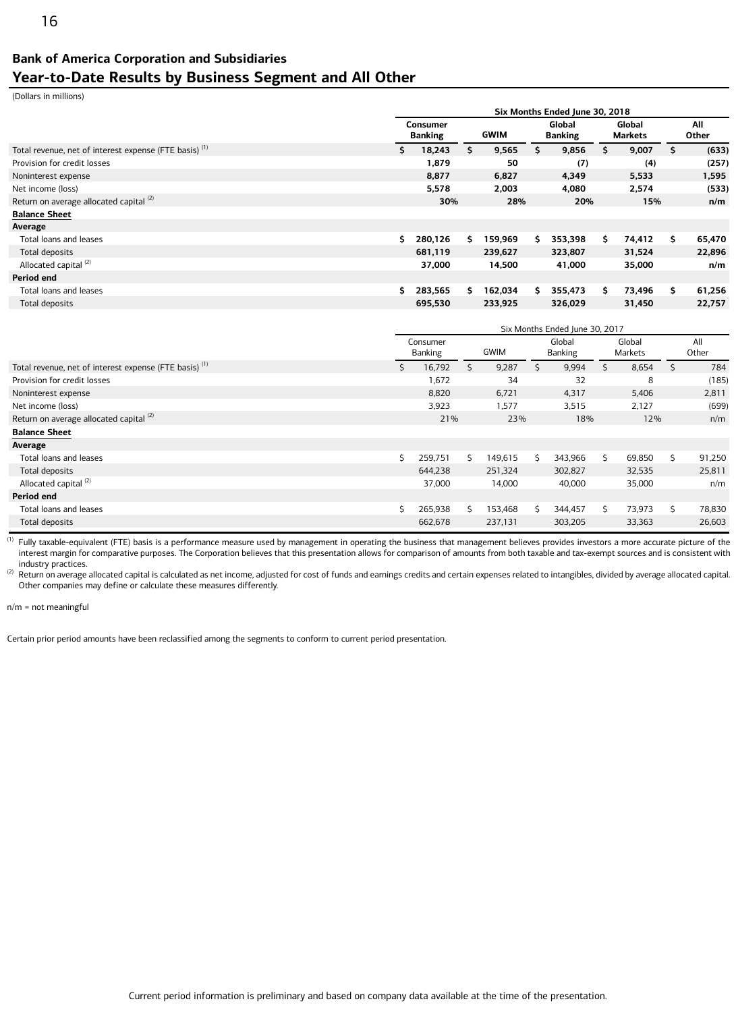# **Bank of America Corporation and Subsidiaries Year-to-Date Results by Business Segment and All Other**

(Dollars in millions)

|                                                                   |    | Six Months Ended June 30, 2018 |     |             |     |                          |    |                          |    |              |  |  |  |
|-------------------------------------------------------------------|----|--------------------------------|-----|-------------|-----|--------------------------|----|--------------------------|----|--------------|--|--|--|
|                                                                   |    | Consumer<br><b>Banking</b>     |     | <b>GWIM</b> |     | Global<br><b>Banking</b> |    | Global<br><b>Markets</b> |    | All<br>Other |  |  |  |
| Total revenue, net of interest expense (FTE basis) <sup>(1)</sup> | S. | 18,243                         | s   | 9,565       |     | 9,856                    | s  | 9,007                    | S. | (633)        |  |  |  |
| Provision for credit losses                                       |    | 1,879                          |     | 50          |     | (7)                      |    | (4)                      |    | (257)        |  |  |  |
| Noninterest expense                                               |    | 8,877                          |     | 6,827       |     | 4,349                    |    | 5,533                    |    | 1,595        |  |  |  |
| Net income (loss)                                                 |    | 5,578                          |     | 2,003       |     | 4,080                    |    | 2,574                    |    | (533)        |  |  |  |
| Return on average allocated capital <sup>(2)</sup>                |    | 30%                            |     | 28%         |     | 20%                      |    | 15%                      |    | n/m          |  |  |  |
| <b>Balance Sheet</b>                                              |    |                                |     |             |     |                          |    |                          |    |              |  |  |  |
| Average                                                           |    |                                |     |             |     |                          |    |                          |    |              |  |  |  |
| Total loans and leases                                            | Ŝ. | 280,126                        | \$. | 159,969     | \$. | 353,398                  | Ŝ. | 74,412                   | Ŝ. | 65,470       |  |  |  |
| Total deposits                                                    |    | 681,119                        |     | 239,627     |     | 323,807                  |    | 31,524                   |    | 22,896       |  |  |  |
| Allocated capital <sup>(2)</sup>                                  |    | 37,000                         |     | 14,500      |     | 41,000                   |    | 35,000                   |    | n/m          |  |  |  |
| <b>Period end</b>                                                 |    |                                |     |             |     |                          |    |                          |    |              |  |  |  |
| Total loans and leases                                            | Ŝ. | 283,565                        | s.  | 162,034     | ς.  | 355,473                  | s  | 73,496                   | s. | 61,256       |  |  |  |
| Total deposits                                                    |    | 695,530                        |     | 233,925     |     | 326,029                  |    | 31,450                   |    | 22,757       |  |  |  |

|                                                                   | Six Months Ended June 30, 2017 |         |    |             |    |                          |    |                   |    |              |  |
|-------------------------------------------------------------------|--------------------------------|---------|----|-------------|----|--------------------------|----|-------------------|----|--------------|--|
|                                                                   | Consumer<br><b>Banking</b>     |         |    | <b>GWIM</b> |    | Global<br><b>Banking</b> |    | Global<br>Markets |    | All<br>Other |  |
| Total revenue, net of interest expense (FTE basis) <sup>(1)</sup> | ς.                             | 16,792  |    | 9,287       |    | 9,994                    |    | 8,654             |    | 784          |  |
| Provision for credit losses                                       |                                | 1,672   |    | 34          |    | 32                       |    | 8                 |    | (185)        |  |
| Noninterest expense                                               |                                | 8,820   |    | 6,721       |    | 4,317                    |    | 5,406             |    | 2,811        |  |
| Net income (loss)                                                 |                                | 3,923   |    | 1,577       |    | 3,515                    |    | 2,127             |    | (699)        |  |
| Return on average allocated capital (2)                           |                                | 21%     |    | 23%         |    | 18%                      |    | 12%               |    | n/m          |  |
| <b>Balance Sheet</b>                                              |                                |         |    |             |    |                          |    |                   |    |              |  |
| Average                                                           |                                |         |    |             |    |                          |    |                   |    |              |  |
| Total loans and leases                                            | Ś.                             | 259,751 | ς. | 149,615     | ς. | 343,966                  | Ŝ. | 69,850            | Ś. | 91,250       |  |
| Total deposits                                                    |                                | 644,238 |    | 251,324     |    | 302,827                  |    | 32,535            |    | 25,811       |  |
| Allocated capital <sup>(2)</sup>                                  |                                | 37,000  |    | 14,000      |    | 40,000                   |    | 35,000            |    | n/m          |  |
| Period end                                                        |                                |         |    |             |    |                          |    |                   |    |              |  |
| Total loans and leases                                            | Ś.                             | 265,938 |    | 153,468     |    | 344,457                  | Ŝ. | 73,973            | Ŝ. | 78,830       |  |
| Total deposits                                                    |                                | 662,678 |    | 237,131     |    | 303,205                  |    | 33,363            |    | 26,603       |  |
|                                                                   |                                |         |    |             |    |                          |    |                   |    |              |  |

<sup>(1)</sup> Fully taxable-equivalent (FTE) basis is a performance measure used by management in operating the business that management believes provides investors a more accurate picture of the interest margin for comparative purposes. The Corporation believes that this presentation allows for comparison of amounts from both taxable and tax-exempt sources and is consistent with industry practices.

(2) Return on average allocated capital is calculated as net income, adjusted for cost of funds and earnings credits and certain expenses related to intangibles, divided by average allocated capital. Other companies may define or calculate these measures differently.

n/m = not meaningful

Certain prior period amounts have been reclassified among the segments to conform to current period presentation.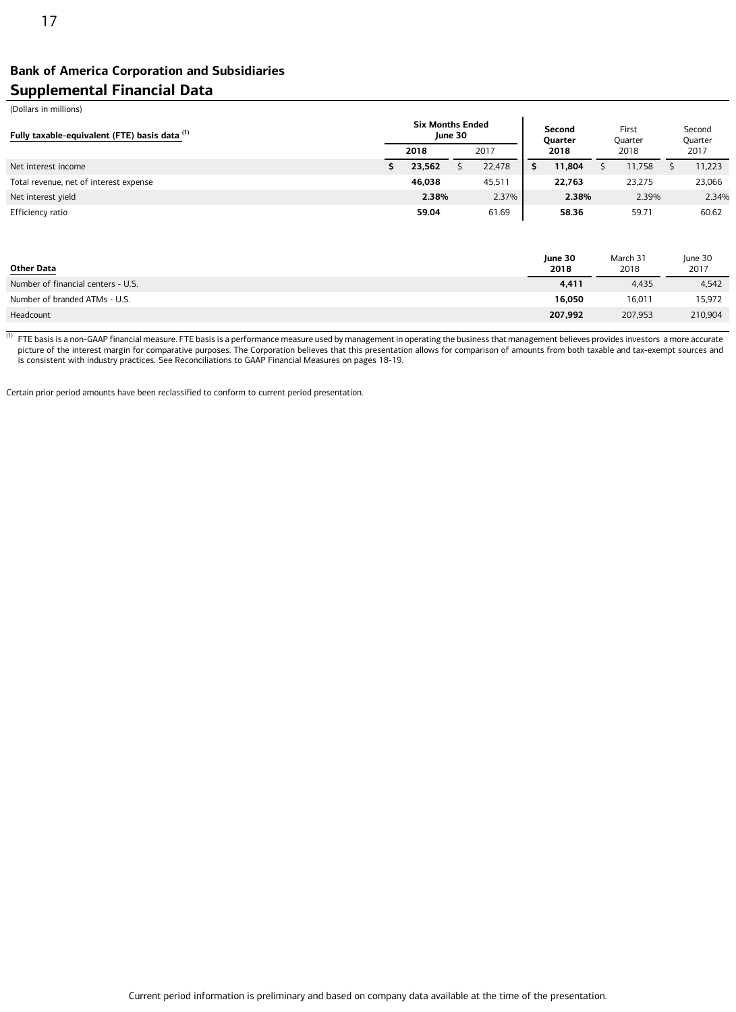# **Bank of America Corporation and Subsidiaries Supplemental Financial Data**

| . .                                           |  |                         |         |        |   |                   |      |                  |      |                   |
|-----------------------------------------------|--|-------------------------|---------|--------|---|-------------------|------|------------------|------|-------------------|
| (Dollars in millions)                         |  |                         |         |        |   |                   |      |                  |      |                   |
| Fully taxable-equivalent (FTE) basis data (1) |  | <b>Six Months Ended</b> | June 30 |        |   | Second<br>Quarter |      | First<br>Ouarter |      | Second<br>Quarter |
|                                               |  | 2018                    |         | 2017   |   | 2018              | 2018 |                  | 2017 |                   |
| Net interest income                           |  | 23,562                  |         | 22,478 | s | 11,804            |      | 11,758           |      | 11,223            |
| Total revenue, net of interest expense        |  | 46,038                  |         | 45,511 |   | 22,763            |      | 23,275           |      | 23,066            |
| Net interest yield                            |  | 2.38%                   |         | 2.37%  |   | 2.38%             |      | 2.39%            |      | 2.34%             |
| Efficiency ratio                              |  | 59.04                   |         | 61.69  |   | 58.36             |      | 59.71            |      | 60.62             |
|                                               |  |                         |         |        |   |                   |      |                  |      |                   |

| <b>Other Data</b>                  | June 30<br>2018 | March 31<br>2018 | June 30<br>2017 |
|------------------------------------|-----------------|------------------|-----------------|
| Number of financial centers - U.S. | 4,411           | 4.435            | 4,542           |
| Number of branded ATMs - U.S.      | 16.050          | 16.011           | 15,972          |
| Headcount                          | 207,992         | 207,953          | 210,904         |

 $\frac{(1)}{(1)}$  FTE basis is a non-GAAP financial measure. FTE basis is a performance measure used by management in operating the business that management believes provides investors a more accurate picture of the interest margin for comparative purposes. The Corporation believes that this presentation allows for comparison of amounts from both taxable and tax-exempt sources and is consistent with industry practices. See Reconciliations to GAAP Financial Measures on pages 18-19.

Certain prior period amounts have been reclassified to conform to current period presentation.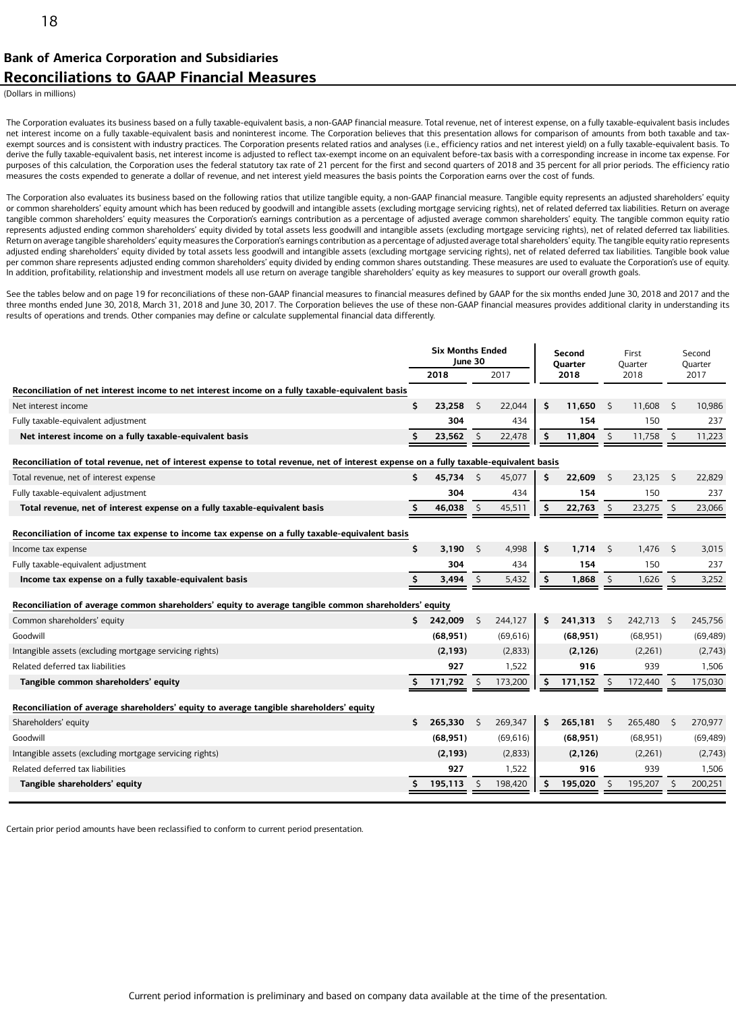# **Bank of America Corporation and Subsidiaries Reconciliations to GAAP Financial Measures**

(Dollars in millions)

The Corporation evaluates its business based on a fully taxable-equivalent basis, a non-GAAP financial measure. Total revenue, net of interest expense, on a fully taxable-equivalent basis includes net interest income on a fully taxable-equivalent basis and noninterest income. The Corporation believes that this presentation allows for comparison of amounts from both taxable and taxexempt sources and is consistent with industry practices. The Corporation presents related ratios and analyses (i.e., efficiency ratios and net interest yield) on a fully taxable-equivalent basis. To derive the fully taxable-equivalent basis, net interest income is adjusted to reflect tax-exempt income on an equivalent before-tax basis with a corresponding increase in income tax expense. For purposes of this calculation, the Corporation uses the federal statutory tax rate of 21 percent for the first and second quarters of 2018 and 35 percent for all prior periods. The efficiency ratio measures the costs expended to generate a dollar of revenue, and net interest yield measures the basis points the Corporation earns over the cost of funds.

The Corporation also evaluates its business based on the following ratios that utilize tangible equity, a non-GAAP financial measure. Tangible equity represents an adjusted shareholders' equity or common shareholders' equity amount which has been reduced by goodwill and intangible assets (excluding mortgage servicing rights), net of related deferred tax liabilities. Return on average tangible common shareholders' equity measures the Corporation's earnings contribution as a percentage of adjusted average common shareholders' equity. The tangible common equity ratio represents adjusted ending common shareholders' equity divided by total assets less goodwill and intangible assets (excluding mortgage servicing rights), net of related deferred tax liabilities. Return on average tangible shareholders' equity measures the Corporation's earnings contribution as a percentage of adjusted average total shareholders' equity. The tangible equity ratio represents adjusted ending shareholders' equity divided by total assets less goodwill and intangible assets (excluding mortgage servicing rights), net of related deferred tax liabilities. Tangible book value per common share represents adjusted ending common shareholders' equity divided by ending common shares outstanding. These measures are used to evaluate the Corporation's use of equity. In addition, profitability, relationship and investment models all use return on average tangible shareholders' equity as key measures to support our overall growth goals.

See the tables below and on page 19 for reconciliations of these non-GAAP financial measures to financial measures defined by GAAP for the six months ended June 30, 2018 and 2017 and the three months ended June 30, 2018, March 31, 2018 and June 30, 2017. The Corporation believes the use of these non-GAAP financial measures provides additional clarity in understanding its results of operations and trends. Other companies may define or calculate supplemental financial data differently.

|                                                                                                                                        |     | <b>Six Months Ended</b><br>June 30 |              |           | Second<br>Ouarter |            | First<br>Ouarter |           |              | Second<br>Ouarter |
|----------------------------------------------------------------------------------------------------------------------------------------|-----|------------------------------------|--------------|-----------|-------------------|------------|------------------|-----------|--------------|-------------------|
|                                                                                                                                        |     | 2018                               |              | 2017      |                   | 2018       |                  | 2018      |              | 2017              |
| Reconciliation of net interest income to net interest income on a fully taxable-equivalent basis                                       |     |                                    |              |           |                   |            |                  |           |              |                   |
| Net interest income                                                                                                                    | \$  | 23,258                             | Ŝ.           | 22,044    | \$.               | 11,650     | - \$             | 11.608    | Ŝ.           | 10,986            |
| Fully taxable-equivalent adjustment                                                                                                    |     | 304                                |              | 434       |                   | 154        |                  | 150       |              | 237               |
| Net interest income on a fully taxable-equivalent basis                                                                                |     | 23,562                             | -S           | 22,478    | \$                | 11,804     | - \$             | 11,758    | Ŝ.           | 11,223            |
| Reconciliation of total revenue, net of interest expense to total revenue, net of interest expense on a fully taxable-equivalent basis |     |                                    |              |           |                   |            |                  |           |              |                   |
| Total revenue, net of interest expense                                                                                                 | \$  | 45,734 \$                          |              | 45,077    | \$                | 22,609     | S.               | 23,125    | Ŝ.           | 22,829            |
| Fully taxable-equivalent adjustment                                                                                                    |     | 304                                |              | 434       |                   | 154        |                  | 150       |              | 237               |
| Total revenue, net of interest expense on a fully taxable-equivalent basis                                                             |     | 46,038                             | \$           | 45,511    | \$                | 22,763     | Ŝ.               | 23,275    | $\mathsf{S}$ | 23,066            |
| Reconciliation of income tax expense to income tax expense on a fully taxable-equivalent basis                                         |     |                                    |              |           |                   |            |                  |           |              |                   |
| Income tax expense                                                                                                                     | \$  | 3,190                              | $\sqrt{5}$   | 4,998     | \$                | $1,714$ \$ |                  | 1,476     | Ŝ.           | 3,015             |
| Fully taxable-equivalent adjustment                                                                                                    |     | 304                                |              | 434       |                   | 154        |                  | 150       |              | 237               |
| Income tax expense on a fully taxable-equivalent basis                                                                                 | Ŝ.  | 3,494                              | \$           | 5,432     | \$                | 1,868      | $\zeta$          | 1,626     | $\mathsf{S}$ | 3,252             |
| Reconciliation of average common shareholders' equity to average tangible common shareholders' equity                                  |     |                                    |              |           |                   |            |                  |           |              |                   |
| Common shareholders' equity                                                                                                            | \$. | 242,009                            | Ŝ.           | 244,127   | Ŝ.                | 241,313    | -S               | 242,713   | Ŝ.           | 245,756           |
| Goodwill                                                                                                                               |     | (68, 951)                          |              | (69, 616) |                   | (68, 951)  |                  | (68, 951) |              | (69, 489)         |
| Intangible assets (excluding mortgage servicing rights)                                                                                |     | (2, 193)                           |              | (2,833)   |                   | (2, 126)   |                  | (2,261)   |              | (2,743)           |
| Related deferred tax liabilities                                                                                                       |     | 927                                |              | 1,522     |                   | 916        |                  | 939       |              | 1.506             |
| Tangible common shareholders' equity                                                                                                   |     | 171,792                            | <sub>S</sub> | 173,200   | \$.               | 171,152    | Ŝ                | 172,440   |              | 175,030           |
| Reconciliation of average shareholders' equity to average tangible shareholders' equity                                                |     |                                    |              |           |                   |            |                  |           |              |                   |
| Shareholders' equity                                                                                                                   | Ś.  | 265.330                            | $\mathsf{S}$ | 269.347   | Ŝ.                | 265,181    | - Ś              | 265.480   | -Ŝ           | 270,977           |
| Goodwill                                                                                                                               |     | (68, 951)                          |              | (69, 616) |                   | (68, 951)  |                  | (68, 951) |              | (69, 489)         |
| Intangible assets (excluding mortgage servicing rights)                                                                                |     | (2, 193)                           |              | (2,833)   |                   | (2, 126)   |                  | (2,261)   |              | (2,743)           |
| Related deferred tax liabilities                                                                                                       |     | 927                                |              | 1.522     |                   | 916        |                  | 939       |              | 1.506             |
| Tangible shareholders' equity                                                                                                          |     | 195.113                            | S            | 198.420   |                   | 195,020    | Ŝ                | 195.207   | Ŝ            | 200.251           |
|                                                                                                                                        |     |                                    |              |           |                   |            |                  |           |              |                   |

Certain prior period amounts have been reclassified to conform to current period presentation.